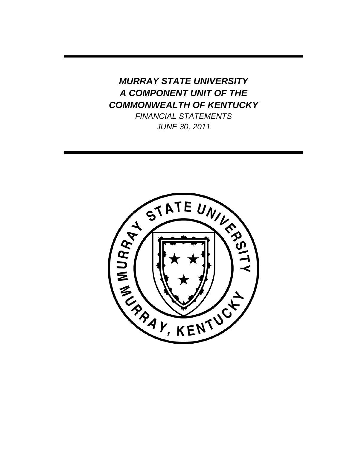# *MURRAY STATE UNIVERSITY A COMPONENT UNIT OF THE COMMONWEALTH OF KENTUCKY*

*FINANCIAL STATEMENTS JUNE 30, 2011*

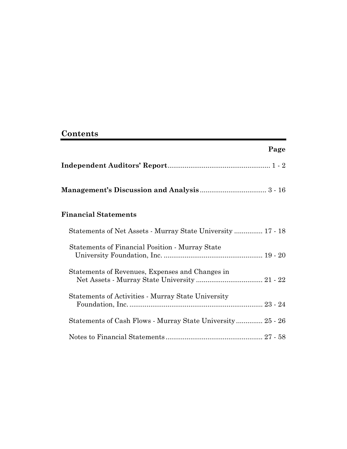# **Contents**

|                                                             | Page |
|-------------------------------------------------------------|------|
|                                                             |      |
|                                                             |      |
| <b>Financial Statements</b>                                 |      |
| Statements of Net Assets - Murray State University  17 - 18 |      |
| Statements of Financial Position - Murray State             |      |
| Statements of Revenues, Expenses and Changes in             |      |
| <b>Statements of Activities - Murray State University</b>   |      |
| Statements of Cash Flows - Murray State University  25 - 26 |      |
|                                                             |      |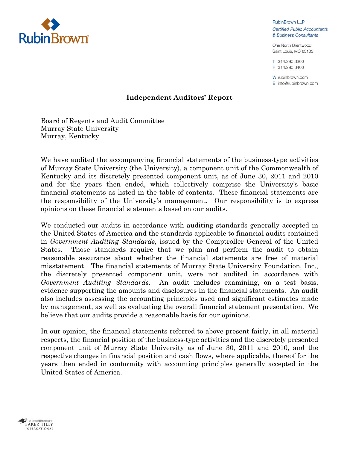

**RubinBrown LLP Certified Public Accountants** & Business Consultants

One North Brentwood Saint Louis, MO 63105

T 314.290.3300 F 314.290.3400

W rubinbrown.com  $E$  info@rubinbrown.com

# **Independent Auditors' Report**

Board of Regents and Audit Committee Murray State University Murray, Kentucky

We have audited the accompanying financial statements of the business-type activities of Murray State University (the University), a component unit of the Commonwealth of Kentucky and its discretely presented component unit, as of June 30, 2011 and 2010 and for the years then ended, which collectively comprise the University's basic financial statements as listed in the table of contents. These financial statements are the responsibility of the University's management. Our responsibility is to express opinions on these financial statements based on our audits.

We conducted our audits in accordance with auditing standards generally accepted in the United States of America and the standards applicable to financial audits contained in *Government Auditing Standards,* issued by the Comptroller General of the United States. Those standards require that we plan and perform the audit to obtain reasonable assurance about whether the financial statements are free of material misstatement. The financial statements of Murray State University Foundation, Inc., the discretely presented component unit, were not audited in accordance with *Government Auditing Standards*. An audit includes examining, on a test basis, evidence supporting the amounts and disclosures in the financial statements. An audit also includes assessing the accounting principles used and significant estimates made by management, as well as evaluating the overall financial statement presentation. We believe that our audits provide a reasonable basis for our opinions.

In our opinion, the financial statements referred to above present fairly, in all material respects, the financial position of the business-type activities and the discretely presented component unit of Murray State University as of June 30, 2011 and 2010, and the respective changes in financial position and cash flows, where applicable, thereof for the years then ended in conformity with accounting principles generally accepted in the United States of America.

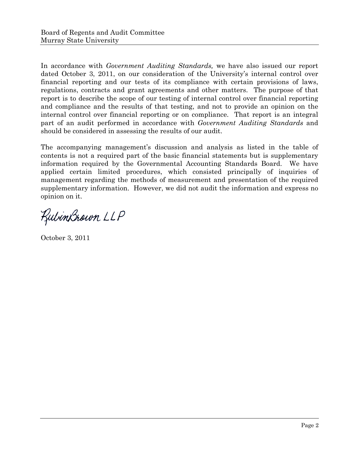In accordance with *Government Auditing Standards,* we have also issued our report dated October 3, 2011, on our consideration of the University's internal control over financial reporting and our tests of its compliance with certain provisions of laws, regulations, contracts and grant agreements and other matters. The purpose of that report is to describe the scope of our testing of internal control over financial reporting and compliance and the results of that testing, and not to provide an opinion on the internal control over financial reporting or on compliance. That report is an integral part of an audit performed in accordance with *Government Auditing Standards* and should be considered in assessing the results of our audit.

The accompanying management's discussion and analysis as listed in the table of contents is not a required part of the basic financial statements but is supplementary information required by the Governmental Accounting Standards Board. We have applied certain limited procedures, which consisted principally of inquiries of management regarding the methods of measurement and presentation of the required supplementary information. However, we did not audit the information and express no opinion on it.

RubinBrown LLP

October 3, 2011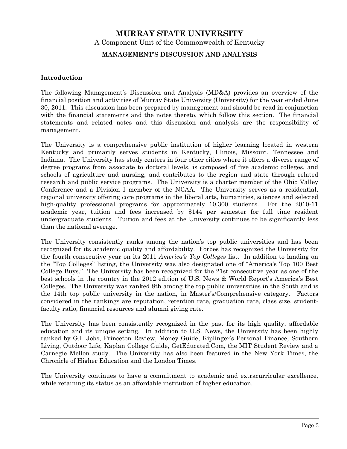#### **MANAGEMENT'S DISCUSSION AND ANALYSIS**

#### **Introduction**

The following Management's Discussion and Analysis (MD&A) provides an overview of the financial position and activities of Murray State University (University) for the year ended June 30, 2011. This discussion has been prepared by management and should be read in conjunction with the financial statements and the notes thereto, which follow this section. The financial statements and related notes and this discussion and analysis are the responsibility of management.

The University is a comprehensive public institution of higher learning located in western Kentucky and primarily serves students in Kentucky, Illinois, Missouri, Tennessee and Indiana. The University has study centers in four other cities where it offers a diverse range of degree programs from associate to doctoral levels, is composed of five academic colleges, and schools of agriculture and nursing, and contributes to the region and state through related research and public service programs. The University is a charter member of the Ohio Valley Conference and a Division I member of the NCAA. The University serves as a residential, regional university offering core programs in the liberal arts, humanities, sciences and selected high-quality professional programs for approximately 10,300 students. For the 2010-11 academic year, tuition and fees increased by \$144 per semester for full time resident undergraduate students. Tuition and fees at the University continues to be significantly less than the national average.

The University consistently ranks among the nation's top public universities and has been recognized for its academic quality and affordability. Forbes has recognized the University for the fourth consecutive year on its 2011 *America's Top Colleges* list. In addition to landing on the "Top Colleges" listing, the University was also designated one of "America's Top 100 Best College Buys." The University has been recognized for the 21st consecutive year as one of the best schools in the country in the 2012 edition of U.S. News & World Report's America's Best Colleges. The University was ranked 8th among the top public universities in the South and is the 14th top public university in the nation, in Master's/Comprehensive category. Factors considered in the rankings are reputation, retention rate, graduation rate, class size, studentfaculty ratio, financial resources and alumni giving rate.

The University has been consistently recognized in the past for its high quality, affordable education and its unique setting. In addition to U.S. News, the University has been highly ranked by G.I. Jobs, Princeton Review, Money Guide, Kiplinger's Personal Finance, Southern Living, Outdoor Life, Kaplan College Guide, GetEducated.Com, the MIT Student Review and a Carnegie Mellon study. The University has also been featured in the New York Times, the Chronicle of Higher Education and the London Times.

The University continues to have a commitment to academic and extracurricular excellence, while retaining its status as an affordable institution of higher education.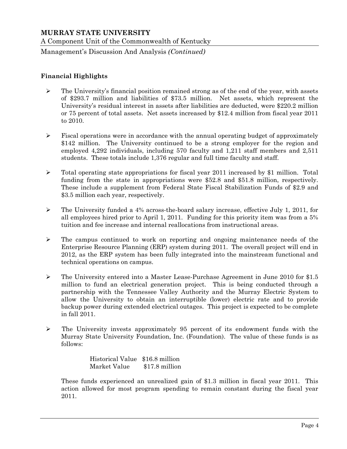Management's Discussion And Analysis *(Continued)*

## **Financial Highlights**

- $\triangleright$  The University's financial position remained strong as of the end of the year, with assets of \$293.7 million and liabilities of \$73.5 million. Net assets, which represent the University's residual interest in assets after liabilities are deducted, were \$220.2 million or 75 percent of total assets. Net assets increased by \$12.4 million from fiscal year 2011 to 2010.
- $\triangleright$  Fiscal operations were in accordance with the annual operating budget of approximately \$142 million. The University continued to be a strong employer for the region and employed 4,292 individuals, including 570 faculty and 1,211 staff members and 2,511 students. These totals include 1,376 regular and full time faculty and staff.
- $\triangleright$  Total operating state appropriations for fiscal year 2011 increased by \$1 million. Total funding from the state in appropriations were \$52.8 and \$51.8 million, respectively. These include a supplement from Federal State Fiscal Stabilization Funds of \$2.9 and \$3.5 million each year, respectively.
- $\triangleright$  The University funded a 4% across-the-board salary increase, effective July 1, 2011, for all employees hired prior to April 1, 2011. Funding for this priority item was from a 5% tuition and fee increase and internal reallocations from instructional areas.
- $\triangleright$  The campus continued to work on reporting and ongoing maintenance needs of the Enterprise Resource Planning (ERP) system during 2011. The overall project will end in 2012, as the ERP system has been fully integrated into the mainstream functional and technical operations on campus.
- The University entered into a Master Lease-Purchase Agreement in June 2010 for \$1.5 million to fund an electrical generation project. This is being conducted through a partnership with the Tennessee Valley Authority and the Murray Electric System to allow the University to obtain an interruptible (lower) electric rate and to provide backup power during extended electrical outages. This project is expected to be complete in fall 2011.
- $\triangleright$  The University invests approximately 95 percent of its endowment funds with the Murray State University Foundation, Inc. (Foundation). The value of these funds is as follows:

 Historical Value \$16.8 million Market Value \$17.8 million

These funds experienced an unrealized gain of \$1.3 million in fiscal year 2011. This action allowed for most program spending to remain constant during the fiscal year 2011.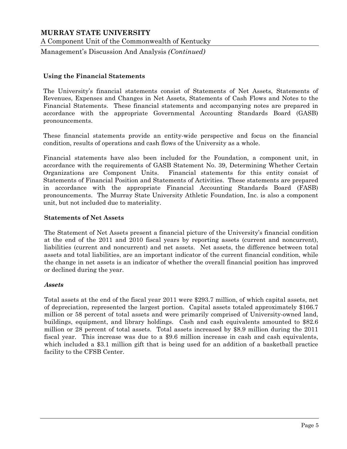A Component Unit of the Commonwealth of Kentucky

Management's Discussion And Analysis *(Continued)*

#### **Using the Financial Statements**

The University's financial statements consist of Statements of Net Assets, Statements of Revenues, Expenses and Changes in Net Assets, Statements of Cash Flows and Notes to the Financial Statements. These financial statements and accompanying notes are prepared in accordance with the appropriate Governmental Accounting Standards Board (GASB) pronouncements.

These financial statements provide an entity-wide perspective and focus on the financial condition, results of operations and cash flows of the University as a whole.

Financial statements have also been included for the Foundation, a component unit, in accordance with the requirements of GASB Statement No. 39, Determining Whether Certain Organizations are Component Units. Financial statements for this entity consist of Statements of Financial Position and Statements of Activities. These statements are prepared in accordance with the appropriate Financial Accounting Standards Board (FASB) pronouncements. The Murray State University Athletic Foundation, Inc. is also a component unit, but not included due to materiality.

#### **Statements of Net Assets**

The Statement of Net Assets present a financial picture of the University's financial condition at the end of the 2011 and 2010 fiscal years by reporting assets (current and noncurrent), liabilities (current and noncurrent) and net assets. Net assets, the difference between total assets and total liabilities, are an important indicator of the current financial condition, while the change in net assets is an indicator of whether the overall financial position has improved or declined during the year.

#### *Assets*

Total assets at the end of the fiscal year 2011 were \$293.7 million, of which capital assets, net of depreciation, represented the largest portion. Capital assets totaled approximately \$166.7 million or 58 percent of total assets and were primarily comprised of University-owned land, buildings, equipment, and library holdings. Cash and cash equivalents amounted to \$82.6 million or 28 percent of total assets. Total assets increased by \$8.9 million during the 2011 fiscal year. This increase was due to a \$9.6 million increase in cash and cash equivalents, which included a \$3.1 million gift that is being used for an addition of a basketball practice facility to the CFSB Center.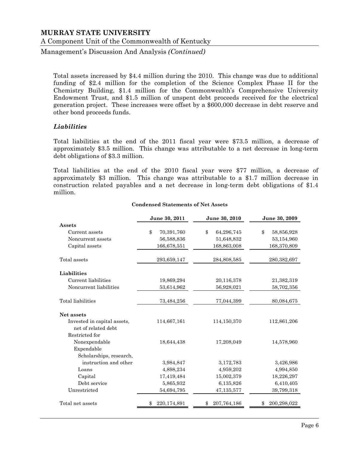A Component Unit of the Commonwealth of Kentucky

Management's Discussion And Analysis *(Continued)*

Total assets increased by \$4.4 million during the 2010. This change was due to additional funding of \$2.4 million for the completion of the Science Complex Phase II for the Chemistry Building, \$1.4 million for the Commonwealth's Comprehensive University Endowment Trust, and \$1.5 million of unspent debt proceeds received for the electrical generation project. These increases were offset by a \$600,000 decrease in debt reserve and other bond proceeds funds.

#### *Liabilities*

Total liabilities at the end of the 2011 fiscal year were \$73.5 million, a decrease of approximately \$3.5 million. This change was attributable to a net decrease in long-term debt obligations of \$3.3 million.

Total liabilities at the end of the 2010 fiscal year were \$77 million, a decrease of approximately \$3 million. This change was attributable to a \$1.7 million decrease in construction related payables and a net decrease in long-term debt obligations of \$1.4 million.

|                                           | June 30, 2011     | June 30, 2010    | June 30, 2009               |
|-------------------------------------------|-------------------|------------------|-----------------------------|
| Assets                                    |                   |                  |                             |
| Current assets                            | \$<br>70,391,760  | \$<br>64,296,745 | $\mathcal{S}$<br>58,856,928 |
| Noncurrent assets                         | 56,588,836        | 51,648,832       | 53,154,960                  |
| Capital assets                            | 166,678,551       | 168,863,008      | 168,370,809                 |
| Total assets                              | 293,659,147       | 284,808,585      | 280,382,697                 |
| Liabilities                               |                   |                  |                             |
| Current liabilities                       | 19,869,294        | 20,116,378       | 21,382,319                  |
| Noncurrent liabilities                    | 53,614,962        | 56,928,021       | 58,702,356                  |
| Total liabilities                         | 73,484,256        | 77,044,399       | 80,084,675                  |
| Net assets<br>Invested in capital assets, | 114,667,161       | 114,150,370      | 112,861,206                 |
| net of related debt                       |                   |                  |                             |
| Restricted for                            |                   |                  |                             |
| Nonexpendable                             | 18,644,438        | 17,208,049       | 14,578,960                  |
| Expendable                                |                   |                  |                             |
| Scholarships, research,                   |                   |                  |                             |
| instruction and other                     | 3,984,847         | 3,172,783        | 3,426,986                   |
| Loans                                     | 4,898,234         | 4,959,202        | 4,994,850                   |
| Capital                                   | 17,419,484        | 15,002,379       | 18,226,297                  |
| Debt service                              | 5,865,932         | 6,135,826        | 6,410,405                   |
| Unrestricted                              | 54,694,795        | 47,135,577       | 39,799,318                  |
| Total net assets                          | 220,174,891<br>\$ | 207,764,186      | 200,298,022<br>\$           |

#### **Condensed Statements of Net Assets**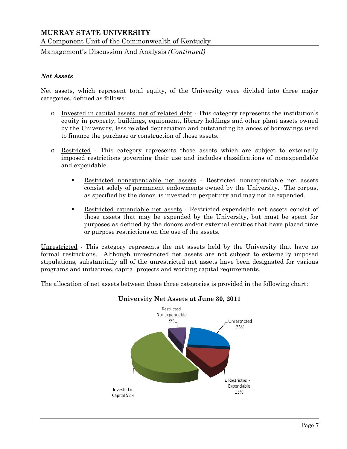A Component Unit of the Commonwealth of Kentucky

Management's Discussion And Analysis *(Continued)*

#### *Net Assets*

Net assets, which represent total equity, of the University were divided into three major categories, defined as follows:

- o Invested in capital assets, net of related debt This category represents the institution's equity in property, buildings, equipment, library holdings and other plant assets owned by the University, less related depreciation and outstanding balances of borrowings used to finance the purchase or construction of those assets.
- o Restricted This category represents those assets which are subject to externally imposed restrictions governing their use and includes classifications of nonexpendable and expendable.
	- Restricted nonexpendable net assets Restricted nonexpendable net assets consist solely of permanent endowments owned by the University. The corpus, as specified by the donor, is invested in perpetuity and may not be expended.
	- Restricted expendable net assets Restricted expendable net assets consist of those assets that may be expended by the University, but must be spent for purposes as defined by the donors and/or external entities that have placed time or purpose restrictions on the use of the assets.

Unrestricted - This category represents the net assets held by the University that have no formal restrictions. Although unrestricted net assets are not subject to externally imposed stipulations, substantially all of the unrestricted net assets have been designated for various programs and initiatives, capital projects and working capital requirements.

The allocation of net assets between these three categories is provided in the following chart:



#### **University Net Assets at June 30, 2011**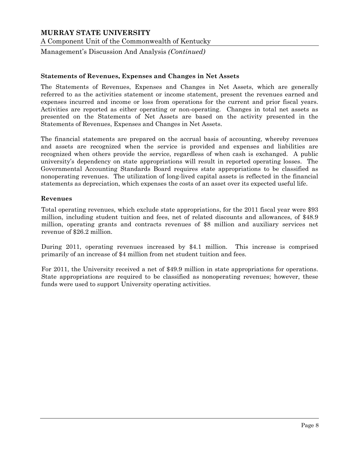A Component Unit of the Commonwealth of Kentucky

Management's Discussion And Analysis *(Continued)*

#### **Statements of Revenues, Expenses and Changes in Net Assets**

The Statements of Revenues, Expenses and Changes in Net Assets, which are generally referred to as the activities statement or income statement, present the revenues earned and expenses incurred and income or loss from operations for the current and prior fiscal years. Activities are reported as either operating or non-operating. Changes in total net assets as presented on the Statements of Net Assets are based on the activity presented in the Statements of Revenues, Expenses and Changes in Net Assets.

The financial statements are prepared on the accrual basis of accounting, whereby revenues and assets are recognized when the service is provided and expenses and liabilities are recognized when others provide the service, regardless of when cash is exchanged. A public university's dependency on state appropriations will result in reported operating losses. The Governmental Accounting Standards Board requires state appropriations to be classified as nonoperating revenues. The utilization of long-lived capital assets is reflected in the financial statements as depreciation, which expenses the costs of an asset over its expected useful life.

#### **Revenues**

Total operating revenues, which exclude state appropriations, for the 2011 fiscal year were \$93 million, including student tuition and fees, net of related discounts and allowances, of \$48.9 million, operating grants and contracts revenues of \$8 million and auxiliary services net revenue of \$26.2 million.

During 2011, operating revenues increased by \$4.1 million. This increase is comprised primarily of an increase of \$4 million from net student tuition and fees.

For 2011, the University received a net of \$49.9 million in state appropriations for operations. State appropriations are required to be classified as nonoperating revenues; however, these funds were used to support University operating activities.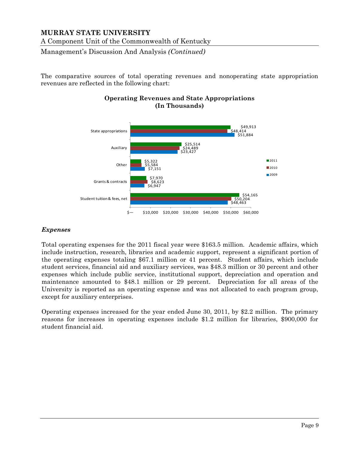A Component Unit of the Commonwealth of Kentucky

Management's Discussion And Analysis *(Continued)*

The comparative sources of total operating revenues and nonoperating state appropriation revenues are reflected in the following chart:



# **Operating Revenues and State Appropriations (In Thousands)**

## *Expenses*

Total operating expenses for the 2011 fiscal year were \$163.5 million. Academic affairs, which include instruction, research, libraries and academic support, represent a significant portion of the operating expenses totaling \$67.1 million or 41 percent. Student affairs, which include student services, financial aid and auxiliary services, was \$48.3 million or 30 percent and other expenses which include public service, institutional support, depreciation and operation and maintenance amounted to \$48.1 million or 29 percent. Depreciation for all areas of the University is reported as an operating expense and was not allocated to each program group, except for auxiliary enterprises.

Operating expenses increased for the year ended June 30, 2011, by \$2.2 million. The primary reasons for increases in operating expenses include \$1.2 million for libraries, \$900,000 for student financial aid.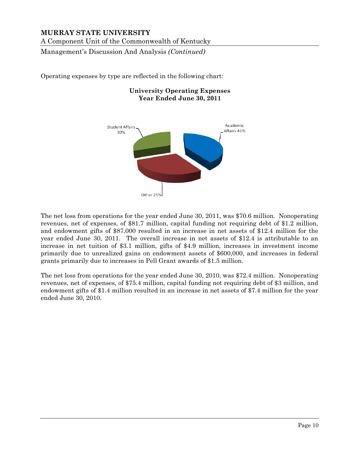A Component Unit of the Commonwealth of Kentucky

Management's Discussion And Analysis *(Continued)*

Operating expenses by type are reflected in the following chart:

#### **University Operating Expenses Year Ended June 30, 2011**



The net loss from operations for the year ended June 30, 2011, was \$70.6 million. Nonoperating revenues, net of expenses, of \$81.7 million, capital funding not requiring debt of \$1.2 million, and endowment gifts of \$87,000 resulted in an increase in net assets of \$12.4 million for the year ended June 30, 2011. The overall increase in net assets of \$12.4 is attributable to an increase in net tuition of \$3.1 million, gifts of \$4.9 million, increases in investment income primarily due to unrealized gains on endowment assets of \$600,000, and increases in federal grants primarily due to increases in Pell Grant awards of \$1.5 million.

The net loss from operations for the year ended June 30, 2010, was \$72.4 million. Nonoperating revenues, net of expenses, of \$75.4 million, capital funding not requiring debt of \$3 million, and endowment gifts of \$1.4 million resulted in an increase in net assets of \$7.4 million for the year ended June 30, 2010.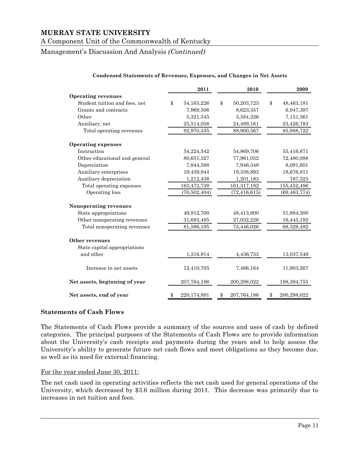#### A Component Unit of the Commonwealth of Kentucky

Management's Discussion And Analysis *(Continued)*

|                               |            | 2011           | 2010 |                |    | 2009           |
|-------------------------------|------------|----------------|------|----------------|----|----------------|
| <b>Operating revenues</b>     |            |                |      |                |    |                |
| Student tuition and fees, net | \$         | 54, 165, 226   | \$   | 50,203,723     | \$ | 48,463,181     |
| Grants and contracts          |            | 7,969,506      |      | 8,623,357      |    | 6,947,397      |
| Other                         |            | 5,321,545      |      | 5,584,326      |    | 7,151,361      |
| Auxiliary, net                |            | 25,514,058     |      | 24,489,161     |    | 23,426,783     |
| Total operating revenues      |            | 92,970,335     |      | 88,900,567     |    | 85,988,722     |
| <b>Operating expenses</b>     |            |                |      |                |    |                |
| Instruction                   |            | 54,224,542     |      | 54,869,706     |    | 55,416,671     |
| Other educational and general |            | 80,651,327     |      | 77,961,052     |    | 72,480,088     |
| Depreciation                  |            | 7,944,588      |      | 7,946,348      |    | 8,091,601      |
| Auxiliary enterprises         |            | 19,439,844     |      | 19,338,893     |    | 18,676,811     |
| Auxiliary depreciation        |            | 1,212,438      |      | 1,201,183      |    | 787,325        |
| Total operating expenses      |            | 163,472,739    |      | 161,317,182    |    | 155,452,496    |
| Operating loss                |            | (70, 502, 404) |      | (72, 416, 615) |    | (69, 463, 774) |
| Nonoperating revenues         |            |                |      |                |    |                |
| State appropriations          |            | 49,912,700     |      | 48,413,800     |    | 51,884,300     |
| Other nonoperating revenues   |            | 31,683,495     |      | 27,032,226     |    | 16,445,192     |
| Total nonoperating revenues   | 81,596,195 |                |      | 75,446,026     |    | 68,329,492     |
| Other revenues                |            |                |      |                |    |                |
| State capital appropriations  |            |                |      |                |    |                |
| and other                     |            | 1,316,914      |      | 4,436,753      |    | 13,037,549     |
| Increase in net assets        |            | 12,410,705     |      | 7,466,164      |    | 11,903,267     |
| Net assets, beginning of year |            | 207,764,186    |      | 200,298,022    |    | 188, 394, 755  |
| Net assets, end of year       | \$         | 220,174,891    | \$   | 207,764,186    | \$ | 200,298,022    |

#### **Condensed Statements of Revenues, Expenses, and Changes in Net Assets**

#### **Statements of Cash Flows**

The Statements of Cash Flows provide a summary of the sources and uses of cash by defined categories. The principal purposes of the Statements of Cash Flows are to provide information about the University's cash receipts and payments during the years and to help assess the University's ability to generate future net cash flows and meet obligations as they become due, as well as its need for external financing.

#### For the year ended June 30, 2011:

The net cash used in operating activities reflects the net cash used for general operations of the University, which decreased by \$3.6 million during 2011. This decrease was primarily due to increases in net tuition and fees.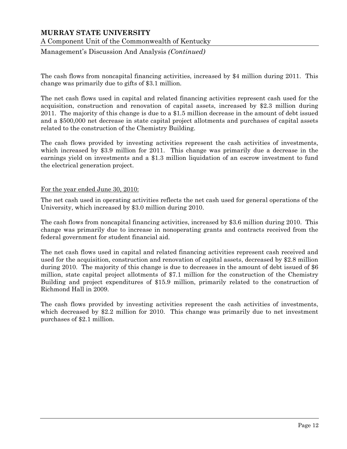A Component Unit of the Commonwealth of Kentucky

Management's Discussion And Analysis *(Continued)*

The cash flows from noncapital financing activities, increased by \$4 million during 2011. This change was primarily due to gifts of \$3.1 million.

The net cash flows used in capital and related financing activities represent cash used for the acquisition, construction and renovation of capital assets, increased by \$2.3 million during 2011. The majority of this change is due to a \$1.5 million decrease in the amount of debt issued and a \$500,000 net decrease in state capital project allotments and purchases of capital assets related to the construction of the Chemistry Building.

The cash flows provided by investing activities represent the cash activities of investments, which increased by \$3.9 million for 2011. This change was primarily due a decrease in the earnings yield on investments and a \$1.3 million liquidation of an escrow investment to fund the electrical generation project.

#### For the year ended June 30, 2010:

The net cash used in operating activities reflects the net cash used for general operations of the University, which increased by \$3.0 million during 2010.

The cash flows from noncapital financing activities, increased by \$3.6 million during 2010. This change was primarily due to increase in nonoperating grants and contracts received from the federal government for student financial aid.

The net cash flows used in capital and related financing activities represent cash received and used for the acquisition, construction and renovation of capital assets, decreased by \$2.8 million during 2010. The majority of this change is due to decreases in the amount of debt issued of \$6 million, state capital project allotments of \$7.1 million for the construction of the Chemistry Building and project expenditures of \$15.9 million, primarily related to the construction of Richmond Hall in 2009.

The cash flows provided by investing activities represent the cash activities of investments, which decreased by \$2.2 million for 2010. This change was primarily due to net investment purchases of \$2.1 million.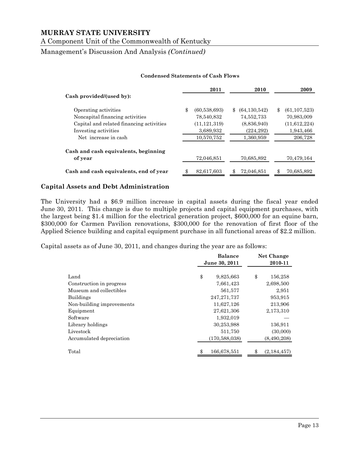A Component Unit of the Commonwealth of Kentucky

Management's Discussion And Analysis *(Continued)*

#### **Condensed Statements of Cash Flows**

|                                          | 2011                 | 2010                 | 2009                 |
|------------------------------------------|----------------------|----------------------|----------------------|
| Cash provided/(used by):                 |                      |                      |                      |
| Operating activities                     | \$<br>(60, 538, 693) | \$<br>(64, 130, 542) | \$<br>(61, 107, 523) |
| Noncapital financing activities          | 78,540,832           | 74,552,733           | 70,983,009           |
| Capital and related financing activities | (11, 121, 319)       | (8,836,940)          | (11,612,224)         |
| Investing activities                     | 3,689,932            | (224, 292)           | 1,943,466            |
| Net increase in cash                     | 10,570,752           | 1,360,959            | 206,728              |
| Cash and cash equivalents, beginning     |                      |                      |                      |
| of year                                  | 72,046,851           | 70,685,892           | 70,479,164           |
| Cash and cash equivalents, end of year   | 82,617,603           | \$<br>72,046,851     | 70,685,892           |

#### **Capital Assets and Debt Administration**

The University had a \$6.9 million increase in capital assets during the fiscal year ended June 30, 2011. This change is due to multiple projects and capital equipment purchases, with the largest being \$1.4 million for the electrical generation project, \$600,000 for an equine barn, \$300,000 for Carmen Pavilion renovations, \$300,000 for the renovation of first floor of the Applied Science building and capital equipment purchase in all functional areas of \$2.2 million.

Capital assets as of June 30, 2011, and changes during the year are as follows:

|                           | <b>Balance</b>    | Net Change    |
|---------------------------|-------------------|---------------|
|                           | June 30, 2011     | 2010-11       |
|                           |                   |               |
| Land                      | \$<br>9,825,663   | \$<br>156,258 |
| Construction in progress  | 7,661,423         | 2,698,500     |
| Museum and collectibles   | 561,577           | 2,951         |
| <b>Buildings</b>          | 247, 271, 737     | 953,915       |
| Non-building improvements | 11,627,126        | 213,906       |
| Equipment                 | 27,621,306        | 2,173,310     |
| Software                  | 1,932,019         |               |
| Library holdings          | 30,253,988        | 136,911       |
| Livestock                 | 511,750           | (30,000)      |
| Accumulated depreciation  | (170, 588, 038)   | (8,490,208)   |
| Total                     | \$<br>166,678,551 | (2, 184, 457) |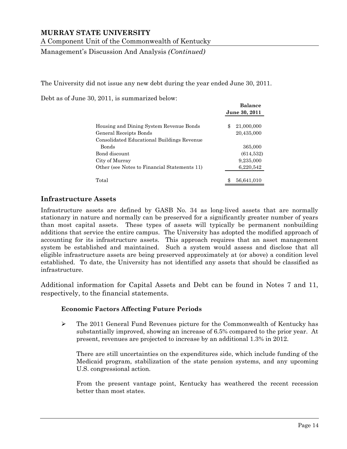A Component Unit of the Commonwealth of Kentucky

Management's Discussion And Analysis *(Continued)*

The University did not issue any new debt during the year ended June 30, 2011.

Debt as of June 30, 2011, is summarized below:

|                                              | Balance<br>June 30, 2011 |
|----------------------------------------------|--------------------------|
| Housing and Dining System Revenue Bonds      | 21,000,000<br>\$         |
| General Receipts Bonds                       | 20,435,000               |
| Consolidated Educational Buildings Revenue   |                          |
| Bonds                                        | 365,000                  |
| Bond discount                                | (614, 532)               |
| City of Murray                               | 9,235,000                |
| Other (see Notes to Financial Statements 11) | 6,220,542                |
| Total                                        | 56,641,010<br>\$         |

**Balance**

## **Infrastructure Assets**

Infrastructure assets are defined by GASB No. 34 as long-lived assets that are normally stationary in nature and normally can be preserved for a significantly greater number of years than most capital assets. These types of assets will typically be permanent nonbuilding additions that service the entire campus. The University has adopted the modified approach of accounting for its infrastructure assets. This approach requires that an asset management system be established and maintained. Such a system would assess and disclose that all eligible infrastructure assets are being preserved approximately at (or above) a condition level established. To date, the University has not identified any assets that should be classified as infrastructure.

Additional information for Capital Assets and Debt can be found in Notes 7 and 11, respectively, to the financial statements.

#### **Economic Factors Affecting Future Periods**

 The 2011 General Fund Revenues picture for the Commonwealth of Kentucky has substantially improved, showing an increase of 6.5% compared to the prior year. At present, revenues are projected to increase by an additional 1.3% in 2012.

There are still uncertainties on the expenditures side, which include funding of the Medicaid program, stabilization of the state pension systems, and any upcoming U.S. congressional action.

From the present vantage point, Kentucky has weathered the recent recession better than most states.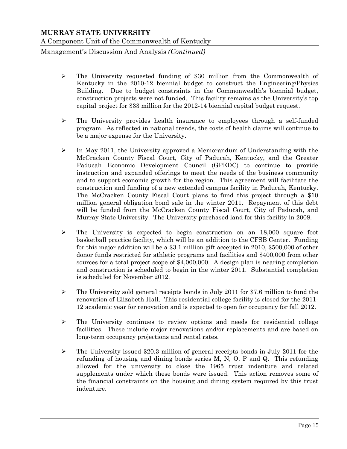Management's Discussion And Analysis *(Continued)*

- $\geq$  The University requested funding of \$30 million from the Commonwealth of Kentucky in the 2010-12 biennial budget to construct the Engineering/Physics Building. Due to budget constraints in the Commonwealth's biennial budget, construction projects were not funded. This facility remains as the University's top capital project for \$33 million for the 2012-14 biennial capital budget request.
- $\triangleright$  The University provides health insurance to employees through a self-funded program. As reflected in national trends, the costs of health claims will continue to be a major expense for the University.
- $\triangleright$  In May 2011, the University approved a Memorandum of Understanding with the McCracken County Fiscal Court, City of Paducah, Kentucky, and the Greater Paducah Economic Development Council (GPEDC) to continue to provide instruction and expanded offerings to meet the needs of the business community and to support economic growth for the region. This agreement will facilitate the construction and funding of a new extended campus facility in Paducah, Kentucky. The McCracken County Fiscal Court plans to fund this project through a \$10 million general obligation bond sale in the winter 2011. Repayment of this debt will be funded from the McCracken County Fiscal Court, City of Paducah, and Murray State University. The University purchased land for this facility in 2008.
- $\triangleright$  The University is expected to begin construction on an 18,000 square foot basketball practice facility, which will be an addition to the CFSB Center. Funding for this major addition will be a \$3.1 million gift accepted in 2010, \$500,000 of other donor funds restricted for athletic programs and facilities and \$400,000 from other sources for a total project scope of \$4,000,000. A design plan is nearing completion and construction is scheduled to begin in the winter 2011. Substantial completion is scheduled for November 2012.
- $\triangleright$  The University sold general receipts bonds in July 2011 for \$7.6 million to fund the renovation of Elizabeth Hall. This residential college facility is closed for the 2011- 12 academic year for renovation and is expected to open for occupancy for fall 2012.
- $\triangleright$  The University continues to review options and needs for residential college facilities. These include major renovations and/or replacements and are based on long-term occupancy projections and rental rates.
- $\triangleright$  The University issued \$20.3 million of general receipts bonds in July 2011 for the refunding of housing and dining bonds series M, N, O, P and Q. This refunding allowed for the university to close the 1965 trust indenture and related supplements under which these bonds were issued. This action removes some of the financial constraints on the housing and dining system required by this trust indenture.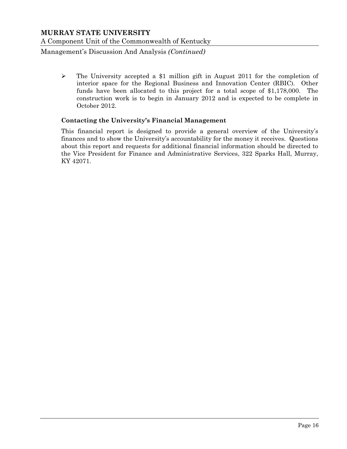Management's Discussion And Analysis *(Continued)*

 $\triangleright$  The University accepted a \$1 million gift in August 2011 for the completion of interior space for the Regional Business and Innovation Center (RBIC). Other funds have been allocated to this project for a total scope of \$1,178,000. The construction work is to begin in January 2012 and is expected to be complete in October 2012.

## **Contacting the University's Financial Management**

This financial report is designed to provide a general overview of the University's finances and to show the University's accountability for the money it receives. Questions about this report and requests for additional financial information should be directed to the Vice President for Finance and Administrative Services, 322 Sparks Hall, Murray, KY 42071.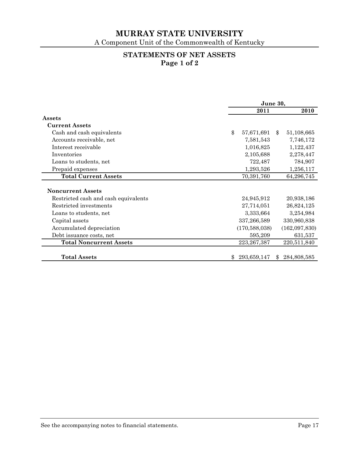A Component Unit of the Commonwealth of Kentucky

# **STATEMENTS OF NET ASSETS Page 1 of 2**

|                                      | June 30, |                 |    |               |
|--------------------------------------|----------|-----------------|----|---------------|
|                                      |          | 2011            |    | 2010          |
| Assets                               |          |                 |    |               |
| <b>Current Assets</b>                |          |                 |    |               |
| Cash and cash equivalents            | \$       | 57,671,691      | \$ | 51,108,665    |
| Accounts receivable, net             |          | 7,581,543       |    | 7,746,172     |
| Interest receivable                  |          | 1,016,825       |    | 1,122,437     |
| Inventories                          |          | 2,105,688       |    | 2,278,447     |
| Loans to students, net               |          | 722,487         |    | 784,907       |
| Prepaid expenses                     |          | 1,293,526       |    | 1,256,117     |
| <b>Total Current Assets</b>          |          | 70,391,760      |    | 64,296,745    |
|                                      |          |                 |    |               |
| <b>Noncurrent Assets</b>             |          |                 |    |               |
| Restricted cash and cash equivalents |          | 24,945,912      |    | 20,938,186    |
| Restricted investments               |          | 27,714,051      |    | 26,824,125    |
| Loans to students, net               |          | 3,333,664       |    | 3,254,984     |
| Capital assets                       |          | 337,266,589     |    | 330,960,838   |
| Accumulated depreciation             |          | (170, 588, 038) |    | (162,097,830) |
| Debt issuance costs, net             |          | 595,209         |    | 631,537       |
| <b>Total Noncurrent Assets</b>       |          | 223, 267, 387   |    | 220,511,840   |
| <b>Total Assets</b>                  | \$       | 293,659,147     | \$ | 284,808,585   |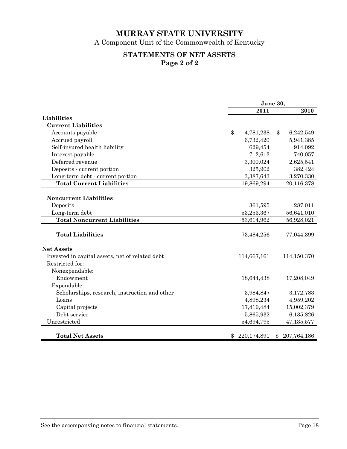A Component Unit of the Commonwealth of Kentucky

# **STATEMENTS OF NET ASSETS Page 2 of 2**

|                                                 | June 30, |             |    |             |
|-------------------------------------------------|----------|-------------|----|-------------|
|                                                 |          | 2011        |    | 2010        |
| Liabilities                                     |          |             |    |             |
| <b>Current Liabilities</b>                      |          |             |    |             |
| Accounts payable                                | \$       | 4,781,238   | \$ | 6,242,549   |
| Accrued payroll                                 |          | 6,732,420   |    | 5,941,385   |
| Self-insured health liability                   |          | 629,454     |    | 914,092     |
| Interest payable                                |          | 712,613     |    | 740,057     |
| Deferred revenue                                |          | 3,300,024   |    | 2,625,541   |
| Deposits - current portion                      |          | 325,902     |    | 382,424     |
| Long-term debt - current portion                |          | 3,387,643   |    | 3,270,330   |
| <b>Total Current Liabilities</b>                |          | 19,869,294  |    | 20,116,378  |
|                                                 |          |             |    |             |
| <b>Noncurrent Liabilities</b>                   |          |             |    |             |
| Deposits                                        |          | 361,595     |    | 287,011     |
| Long-term debt                                  |          | 53,253,367  |    | 56,641,010  |
| <b>Total Noncurrent Liabilities</b>             |          | 53,614,962  |    | 56,928,021  |
|                                                 |          |             |    |             |
| <b>Total Liabilities</b>                        |          | 73,484,256  |    | 77,044,399  |
|                                                 |          |             |    |             |
| <b>Net Assets</b>                               |          |             |    |             |
| Invested in capital assets, net of related debt |          | 114,667,161 |    | 114,150,370 |
| Restricted for:                                 |          |             |    |             |
| Nonexpendable:                                  |          |             |    |             |
| Endowment                                       |          | 18,644,438  |    | 17,208,049  |
| Expendable:                                     |          |             |    |             |
| Scholarships, research, instruction and other   |          | 3,984,847   |    | 3,172,783   |
| Loans                                           |          | 4,898,234   |    | 4,959,202   |
| Capital projects                                |          | 17,419,484  |    | 15,002,379  |
| Debt service                                    |          | 5,865,932   |    | 6,135,826   |
| Unrestricted                                    |          | 54,694,795  |    | 47,135,577  |
|                                                 |          |             |    |             |
| <b>Total Net Assets</b>                         | \$       | 220,174,891 | \$ | 207,764,186 |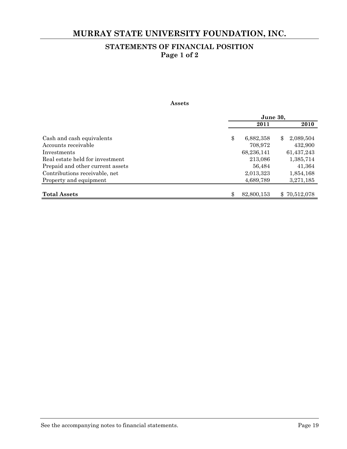# **MURRAY STATE UNIVERSITY FOUNDATION, INC.**

# **STATEMENTS OF FINANCIAL POSITION Page 1 of 2**

#### **Assets**

|                                  | June 30,         |                 |  |
|----------------------------------|------------------|-----------------|--|
|                                  | 2011             | 2010            |  |
|                                  |                  |                 |  |
| Cash and cash equivalents        | \$<br>6,882,358  | 2,089,504<br>\$ |  |
| Accounts receivable              | 708,972          | 432,900         |  |
| Investments                      | 68,236,141       | 61,437,243      |  |
| Real estate held for investment  | 213,086          | 1,385,714       |  |
| Prepaid and other current assets | 56,484           | 41,364          |  |
| Contributions receivable, net    | 2,013,323        | 1,854,168       |  |
| Property and equipment           | 4,689,789        | 3,271,185       |  |
|                                  |                  |                 |  |
| <b>Total Assets</b>              | \$<br>82,800,153 | \$70,512,078    |  |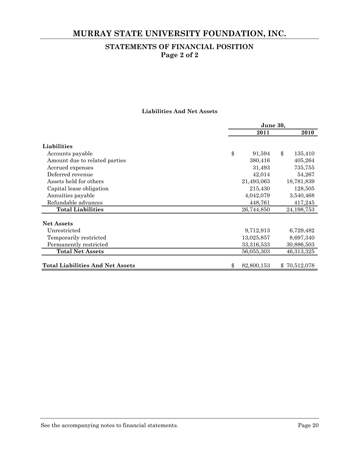# **MURRAY STATE UNIVERSITY FOUNDATION, INC.**

# **STATEMENTS OF FINANCIAL POSITION Page 2 of 2**

#### **Liabilities And Net Assets**

|                                         | June 30,     |                   |  |  |
|-----------------------------------------|--------------|-------------------|--|--|
|                                         | 2011         | 2010              |  |  |
| Liabilities                             |              |                   |  |  |
| Accounts payable                        | \$<br>91,594 | \$<br>135,410     |  |  |
| Amount due to related parties           | 380,416      | 405,264           |  |  |
| Accrued expenses                        | 31,493       | 735,755           |  |  |
| Deferred revenue                        | 42,014       | 54,267            |  |  |
| Assets held for others                  | 21,493,063   | 18,781,839        |  |  |
| Capital lease obligation                | 215,430      | 128,505           |  |  |
| Annuities payable                       | 4,042,079    | 3,540,468         |  |  |
| Refundable advances                     | 448,761      | 417,245           |  |  |
| <b>Total Liabilities</b>                | 26,744,850   | 24,198,753        |  |  |
| <b>Net Assets</b>                       |              |                   |  |  |
| Unrestricted                            | 9,712,913    | 6,729,482         |  |  |
| Temporarily restricted                  | 13,025,857   | 8,697,340         |  |  |
| Permanently restricted                  | 33,316,533   | 30,886,503        |  |  |
| <b>Total Net Assets</b>                 | 56,055,303   | 46,313,325        |  |  |
| <b>Total Liabilities And Net Assets</b> | 82,800,153   | 70,512,078<br>\$. |  |  |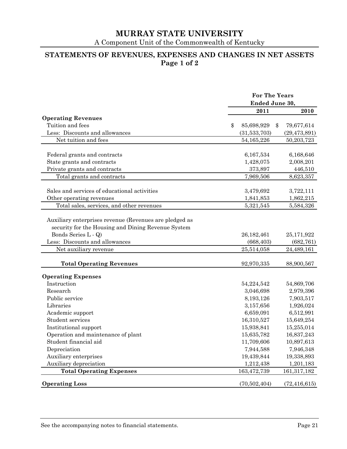A Component Unit of the Commonwealth of Kentucky

# **STATEMENTS OF REVENUES, EXPENSES AND CHANGES IN NET ASSETS Page 1 of 2**

|                                                                                                                                                                                                | <b>For The Years</b><br>Ended June 30, |    |                                        |
|------------------------------------------------------------------------------------------------------------------------------------------------------------------------------------------------|----------------------------------------|----|----------------------------------------|
|                                                                                                                                                                                                |                                        |    | 2010                                   |
| <b>Operating Revenues</b>                                                                                                                                                                      | 2011                                   |    |                                        |
| Tuition and fees                                                                                                                                                                               | \$<br>85,698,929                       | \$ | 79,677,614                             |
| Less: Discounts and allowances                                                                                                                                                                 | (31,533,703)                           |    | (29, 473, 891)                         |
| Net tuition and fees                                                                                                                                                                           | 54, 165, 226                           |    | 50,203,723                             |
|                                                                                                                                                                                                |                                        |    |                                        |
| Federal grants and contracts                                                                                                                                                                   | 6,167,534                              |    | 6,168,646                              |
| State grants and contracts                                                                                                                                                                     | 1,428,075                              |    | 2,008,201                              |
| Private grants and contracts                                                                                                                                                                   | 373,897                                |    | 446,510                                |
| Total grants and contracts                                                                                                                                                                     | 7,969,506                              |    | 8,623,357                              |
|                                                                                                                                                                                                |                                        |    |                                        |
| Sales and services of educational activities                                                                                                                                                   | 3,479,692                              |    | 3,722,111                              |
| Other operating revenues                                                                                                                                                                       | 1,841,853                              |    | 1,862,215                              |
| Total sales, services, and other revenues                                                                                                                                                      | 5,321,545                              |    | 5,584,326                              |
| Auxiliary enterprises revenue (Revenues are pledged as<br>security for the Housing and Dining Revenue System<br>Bonds Series L - Q)<br>Less: Discounts and allowances<br>Net auxiliary revenue | 26,182,461<br>(668, 403)<br>25,514,058 |    | 25,171,922<br>(682, 761)<br>24,489,161 |
| <b>Total Operating Revenues</b>                                                                                                                                                                | 92,970,335                             |    | 88,900,567                             |
| <b>Operating Expenses</b>                                                                                                                                                                      |                                        |    |                                        |
| Instruction                                                                                                                                                                                    | 54,224,542                             |    | 54,869,706                             |
| Research                                                                                                                                                                                       | 3,046,698                              |    | 2,979,396                              |
| Public service                                                                                                                                                                                 | 8,193,126                              |    | 7,903,517                              |
| Libraries                                                                                                                                                                                      | 3,157,656                              |    | 1,926,024                              |
| Academic support                                                                                                                                                                               | 6,659,091                              |    | 6,512,991                              |
| Student services                                                                                                                                                                               | 16,310,527                             |    | 15,649,254                             |
| Institutional support                                                                                                                                                                          | 15,938,841                             |    | 15,255,014                             |
| Operation and maintenance of plant                                                                                                                                                             | 15,635,782                             |    | 16,837,243                             |
| Student financial aid                                                                                                                                                                          | 11,709,606                             |    | 10,897,613                             |
| Depreciation                                                                                                                                                                                   | 7,944,588                              |    | 7,946,348                              |
| Auxiliary enterprises                                                                                                                                                                          | 19,439,844                             |    | 19,338,893                             |
| Auxiliary depreciation                                                                                                                                                                         | 1,212,438                              |    | 1,201,183                              |
| <b>Total Operating Expenses</b>                                                                                                                                                                | 163,472,739                            |    | 161, 317, 182                          |
| <b>Operating Loss</b>                                                                                                                                                                          | (70, 502, 404)                         |    | (72, 416, 615)                         |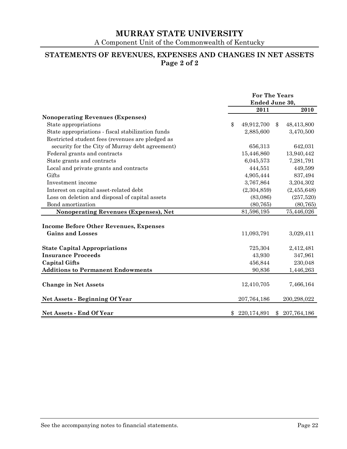A Component Unit of the Commonwealth of Kentucky

# **STATEMENTS OF REVENUES, EXPENSES AND CHANGES IN NET ASSETS Page 2 of 2**

|                                                   | <b>For The Years</b><br>Ended June 30, |             |    |             |
|---------------------------------------------------|----------------------------------------|-------------|----|-------------|
|                                                   |                                        | 2011        |    | 2010        |
| <b>Nonoperating Revenues (Expenses)</b>           |                                        |             |    |             |
| State appropriations                              | \$                                     | 49,912,700  | \$ | 48,413,800  |
| State appropriations - fiscal stabilization funds |                                        | 2,885,600   |    | 3,470,500   |
| Restricted student fees (revenues are pledged as  |                                        |             |    |             |
| security for the City of Murray debt agreement)   |                                        | 656,313     |    | 642,031     |
| Federal grants and contracts                      |                                        | 15,446,860  |    | 13,940,442  |
| State grants and contracts                        |                                        | 6,045,573   |    | 7,281,791   |
| Local and private grants and contracts            |                                        | 444,551     |    | 449,599     |
| Gifts                                             |                                        | 4,905,444   |    | 837,494     |
| Investment income                                 |                                        | 3,767,864   |    | 3,204,302   |
| Interest on capital asset-related debt            |                                        | (2,304,859) |    | (2,455,648) |
| Loss on deletion and disposal of capital assets   |                                        | (83,086)    |    | (257,520)   |
| Bond amortization                                 |                                        | (80, 765)   |    | (80, 765)   |
| Nonoperating Revenues (Expenses), Net             |                                        | 81,596,195  |    | 75,446,026  |
|                                                   |                                        |             |    |             |
| <b>Income Before Other Revenues, Expenses</b>     |                                        |             |    |             |
| <b>Gains and Losses</b>                           |                                        | 11,093,791  |    | 3,029,411   |
| <b>State Capital Appropriations</b>               |                                        | 725,304     |    | 2,412,481   |
| <b>Insurance Proceeds</b>                         |                                        | 43,930      |    | 347,961     |
| <b>Capital Gifts</b>                              |                                        | 456,844     |    | 230,048     |
| <b>Additions to Permanent Endowments</b>          |                                        | 90,836      |    | 1,446,263   |
|                                                   |                                        |             |    |             |
| <b>Change in Net Assets</b>                       |                                        | 12,410,705  |    | 7,466,164   |
| <b>Net Assets - Beginning Of Year</b>             |                                        | 207,764,186 |    | 200,298,022 |
| <b>Net Assets - End Of Year</b>                   | \$                                     | 220,174,891 | \$ | 207,764,186 |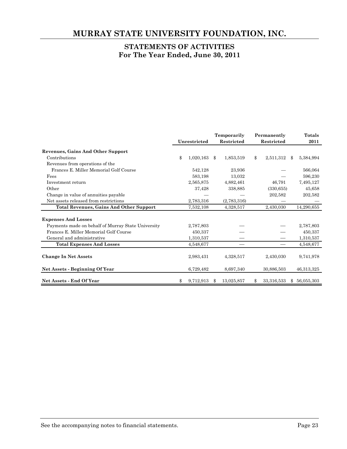# **MURRAY STATE UNIVERSITY FOUNDATION, INC.**

# **STATEMENTS OF ACTIVITIES For The Year Ended, June 30, 2011**

|                                                    |    |              | Temporarily       | Permanently       | Totals |            |
|----------------------------------------------------|----|--------------|-------------------|-------------------|--------|------------|
|                                                    |    | Unrestricted | <b>Restricted</b> | <b>Restricted</b> |        | 2011       |
| <b>Revenues, Gains And Other Support</b>           |    |              |                   |                   |        |            |
| Contributions                                      | \$ | 1,020,163    | \$<br>1,853,519   | \$<br>2,511,312   | \$     | 5,384,994  |
| Revenues from operations of the                    |    |              |                   |                   |        |            |
| Frances E. Miller Memorial Golf Course             |    | 542,128      | 23,936            |                   |        | 566,064    |
| Fees                                               |    | 583,198      | 13,032            |                   |        | 596,230    |
| Investment return                                  |    | 2,565,875    | 4,882,461         | 46,791            |        | 7,495,127  |
| Other                                              |    | 37,428       | 338,885           | (330, 655)        |        | 45,658     |
| Change in value of annuities payable               |    |              |                   | 202,582           |        | 202,582    |
| Net assets released from restrictions              |    | 2,783,316    | (2,783,316)       |                   |        |            |
| <b>Total Revenues, Gains And Other Support</b>     |    | 7,532,108    | 4,328,517         | 2,430,030         |        | 14,290,655 |
| <b>Expenses And Losses</b>                         |    |              |                   |                   |        |            |
| Payments made on behalf of Murray State University |    | 2,787,803    |                   |                   |        | 2,787,803  |
| Frances E. Miller Memorial Golf Course             |    | 450,337      |                   |                   |        | 450,337    |
| General and administrative                         |    | 1,310,537    |                   |                   |        | 1,310,537  |
| <b>Total Expenses And Losses</b>                   |    | 4,548,677    |                   |                   |        | 4,548,677  |
| <b>Change In Net Assets</b>                        |    | 2,983,431    | 4,328,517         | 2,430,030         |        | 9,741,978  |
| Net Assets - Beginning Of Year                     |    | 6,729,482    | 8,697,340         | 30,886,503        |        | 46,313,325 |
| <b>Net Assets - End Of Year</b>                    | \$ | 9,712,913    | \$<br>13,025,857  | \$<br>33,316,533  | \$     | 56,055,303 |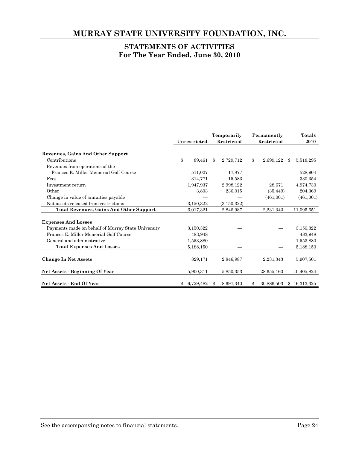# **MURRAY STATE UNIVERSITY FOUNDATION, INC.**

# **STATEMENTS OF ACTIVITIES For The Year Ended, June 30, 2010**

|                                                    |                 | Temporarily |               | Permanently |            | <b>Totals</b> |              |
|----------------------------------------------------|-----------------|-------------|---------------|-------------|------------|---------------|--------------|
|                                                    | Unrestricted    |             | Restricted    |             | Restricted |               | 2010         |
| <b>Revenues, Gains And Other Support</b>           |                 |             |               |             |            |               |              |
| Contributions                                      | \$<br>89,461    | \$          | 2,729,712     | \$          | 2,699,122  | \$            | 5,518,295    |
| Revenues from operations of the                    |                 |             |               |             |            |               |              |
| Frances E. Miller Memorial Golf Course             | 511,027         |             | 17,877        |             |            |               | 528,904      |
| Fees                                               | 314,771         |             | 15,583        |             |            |               | 330,354      |
| Investment return                                  | 1,947,937       |             | 2,998,122     |             | 28,671     |               | 4,974,730    |
| Other                                              | 3,803           |             | 236,015       |             | (35, 449)  |               | 204,369      |
| Change in value of annuities payable               |                 |             |               |             | (461,001)  |               | (461,001)    |
| Net assets released from restrictions              | 3,150,322       |             | (3, 150, 322) |             |            |               |              |
| <b>Total Revenues, Gains And Other Support</b>     | 6,017,321       |             | 2,846,987     |             | 2,231,343  |               | 11,095,651   |
|                                                    |                 |             |               |             |            |               |              |
| <b>Expenses And Losses</b>                         |                 |             |               |             |            |               |              |
| Payments made on behalf of Murray State University | 3,150,322       |             |               |             |            |               | 3,150,322    |
| Frances E. Miller Memorial Golf Course             | 483,948         |             |               |             |            |               | 483,948      |
| General and administrative                         | 1,553,880       |             |               |             |            |               | 1,553,880    |
| <b>Total Expenses And Losses</b>                   | 5,188,150       |             |               |             |            |               | 5,188,150    |
| <b>Change In Net Assets</b>                        | 829,171         |             | 2,846,987     |             | 2,231,343  |               | 5,907,501    |
| Net Assets - Beginning Of Year                     | 5,900,311       |             | 5,850,353     |             | 28,655,160 |               | 40,405,824   |
| <b>Net Assets - End Of Year</b>                    | \$<br>6,729,482 | Ж,          | 8,697,340     | \$          | 30,886,503 |               | \$46,313,325 |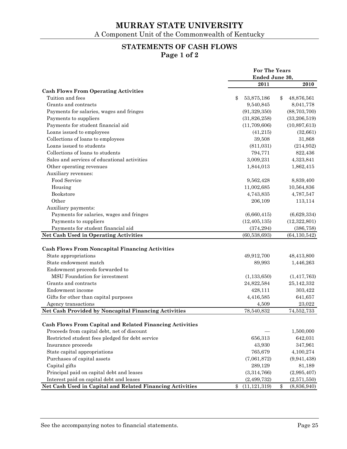# **STATEMENTS OF CASH FLOWS Page 1 of 2**

| Ended June 30,<br>2011<br>2010<br><b>Cash Flows From Operating Activities</b><br>Tuition and fees<br>\$<br>53,875,186<br>\$<br>48,876,561<br>Grants and contracts<br>9,540,845<br>8,041,778<br>Payments for salaries, wages and fringes<br>(91, 329, 350)<br>(88, 703, 700)<br>Payments to suppliers<br>(31, 826, 258)<br>(33, 206, 519)<br>Payments for student financial aid<br>(11,709,606)<br>(10,897,613)<br>Loans issued to employees<br>(41, 215)<br>(32, 661)<br>Collections of loans to employees<br>31,868<br>39,508<br>Loans issued to students<br>(811,031)<br>(214, 952)<br>Collections of loans to students<br>794,771<br>822,436<br>Sales and services of educational activities<br>3,009,231<br>4,323,841<br>Other operating revenues<br>1,862,415<br>1,844,013<br>Auxiliary revenues:<br>Food Service<br>9,562,428<br>8,839,400<br>Housing<br>11,002,685<br>10,564,836<br>Bookstore<br>4,743,835<br>4,787,547<br>Other<br>206,109<br>113,114<br>Auxiliary payments:<br>Payments for salaries, wages and fringes<br>(6,660,415)<br>(6,629,334) |
|----------------------------------------------------------------------------------------------------------------------------------------------------------------------------------------------------------------------------------------------------------------------------------------------------------------------------------------------------------------------------------------------------------------------------------------------------------------------------------------------------------------------------------------------------------------------------------------------------------------------------------------------------------------------------------------------------------------------------------------------------------------------------------------------------------------------------------------------------------------------------------------------------------------------------------------------------------------------------------------------------------------------------------------------------------------|
|                                                                                                                                                                                                                                                                                                                                                                                                                                                                                                                                                                                                                                                                                                                                                                                                                                                                                                                                                                                                                                                                |
|                                                                                                                                                                                                                                                                                                                                                                                                                                                                                                                                                                                                                                                                                                                                                                                                                                                                                                                                                                                                                                                                |
|                                                                                                                                                                                                                                                                                                                                                                                                                                                                                                                                                                                                                                                                                                                                                                                                                                                                                                                                                                                                                                                                |
|                                                                                                                                                                                                                                                                                                                                                                                                                                                                                                                                                                                                                                                                                                                                                                                                                                                                                                                                                                                                                                                                |
|                                                                                                                                                                                                                                                                                                                                                                                                                                                                                                                                                                                                                                                                                                                                                                                                                                                                                                                                                                                                                                                                |
|                                                                                                                                                                                                                                                                                                                                                                                                                                                                                                                                                                                                                                                                                                                                                                                                                                                                                                                                                                                                                                                                |
|                                                                                                                                                                                                                                                                                                                                                                                                                                                                                                                                                                                                                                                                                                                                                                                                                                                                                                                                                                                                                                                                |
|                                                                                                                                                                                                                                                                                                                                                                                                                                                                                                                                                                                                                                                                                                                                                                                                                                                                                                                                                                                                                                                                |
|                                                                                                                                                                                                                                                                                                                                                                                                                                                                                                                                                                                                                                                                                                                                                                                                                                                                                                                                                                                                                                                                |
|                                                                                                                                                                                                                                                                                                                                                                                                                                                                                                                                                                                                                                                                                                                                                                                                                                                                                                                                                                                                                                                                |
|                                                                                                                                                                                                                                                                                                                                                                                                                                                                                                                                                                                                                                                                                                                                                                                                                                                                                                                                                                                                                                                                |
|                                                                                                                                                                                                                                                                                                                                                                                                                                                                                                                                                                                                                                                                                                                                                                                                                                                                                                                                                                                                                                                                |
|                                                                                                                                                                                                                                                                                                                                                                                                                                                                                                                                                                                                                                                                                                                                                                                                                                                                                                                                                                                                                                                                |
|                                                                                                                                                                                                                                                                                                                                                                                                                                                                                                                                                                                                                                                                                                                                                                                                                                                                                                                                                                                                                                                                |
|                                                                                                                                                                                                                                                                                                                                                                                                                                                                                                                                                                                                                                                                                                                                                                                                                                                                                                                                                                                                                                                                |
|                                                                                                                                                                                                                                                                                                                                                                                                                                                                                                                                                                                                                                                                                                                                                                                                                                                                                                                                                                                                                                                                |
|                                                                                                                                                                                                                                                                                                                                                                                                                                                                                                                                                                                                                                                                                                                                                                                                                                                                                                                                                                                                                                                                |
|                                                                                                                                                                                                                                                                                                                                                                                                                                                                                                                                                                                                                                                                                                                                                                                                                                                                                                                                                                                                                                                                |
|                                                                                                                                                                                                                                                                                                                                                                                                                                                                                                                                                                                                                                                                                                                                                                                                                                                                                                                                                                                                                                                                |
|                                                                                                                                                                                                                                                                                                                                                                                                                                                                                                                                                                                                                                                                                                                                                                                                                                                                                                                                                                                                                                                                |
|                                                                                                                                                                                                                                                                                                                                                                                                                                                                                                                                                                                                                                                                                                                                                                                                                                                                                                                                                                                                                                                                |
| Payments to suppliers<br>(12, 405, 135)<br>(12,322,801)                                                                                                                                                                                                                                                                                                                                                                                                                                                                                                                                                                                                                                                                                                                                                                                                                                                                                                                                                                                                        |
| Payments for student financial aid<br>(374, 294)<br>(386, 758)                                                                                                                                                                                                                                                                                                                                                                                                                                                                                                                                                                                                                                                                                                                                                                                                                                                                                                                                                                                                 |
| Net Cash Used in Operating Activities<br>(60, 538, 693)<br>(64, 130, 542)                                                                                                                                                                                                                                                                                                                                                                                                                                                                                                                                                                                                                                                                                                                                                                                                                                                                                                                                                                                      |
|                                                                                                                                                                                                                                                                                                                                                                                                                                                                                                                                                                                                                                                                                                                                                                                                                                                                                                                                                                                                                                                                |
| <b>Cash Flows From Noncapital Financing Activities</b>                                                                                                                                                                                                                                                                                                                                                                                                                                                                                                                                                                                                                                                                                                                                                                                                                                                                                                                                                                                                         |
| State appropriations<br>49,912,700<br>48,413,800                                                                                                                                                                                                                                                                                                                                                                                                                                                                                                                                                                                                                                                                                                                                                                                                                                                                                                                                                                                                               |
| State endowment match<br>89,993<br>1,446,263                                                                                                                                                                                                                                                                                                                                                                                                                                                                                                                                                                                                                                                                                                                                                                                                                                                                                                                                                                                                                   |
| Endowment proceeds forwarded to                                                                                                                                                                                                                                                                                                                                                                                                                                                                                                                                                                                                                                                                                                                                                                                                                                                                                                                                                                                                                                |
| MSU Foundation for investment<br>(1, 133, 650)<br>(1, 417, 763)                                                                                                                                                                                                                                                                                                                                                                                                                                                                                                                                                                                                                                                                                                                                                                                                                                                                                                                                                                                                |
| Grants and contracts<br>24,822,584<br>25,142,332                                                                                                                                                                                                                                                                                                                                                                                                                                                                                                                                                                                                                                                                                                                                                                                                                                                                                                                                                                                                               |
| Endowment income<br>428,111<br>303,422                                                                                                                                                                                                                                                                                                                                                                                                                                                                                                                                                                                                                                                                                                                                                                                                                                                                                                                                                                                                                         |
| Gifts for other than capital purposes<br>4,416,585<br>641,657                                                                                                                                                                                                                                                                                                                                                                                                                                                                                                                                                                                                                                                                                                                                                                                                                                                                                                                                                                                                  |
| 23,022<br>Agency transactions<br>4,509                                                                                                                                                                                                                                                                                                                                                                                                                                                                                                                                                                                                                                                                                                                                                                                                                                                                                                                                                                                                                         |
| Net Cash Provided by Noncapital Financing Activities<br>78,540,832<br>74,552,733                                                                                                                                                                                                                                                                                                                                                                                                                                                                                                                                                                                                                                                                                                                                                                                                                                                                                                                                                                               |
|                                                                                                                                                                                                                                                                                                                                                                                                                                                                                                                                                                                                                                                                                                                                                                                                                                                                                                                                                                                                                                                                |
| Cash Flows From Capital and Related Financing Activities                                                                                                                                                                                                                                                                                                                                                                                                                                                                                                                                                                                                                                                                                                                                                                                                                                                                                                                                                                                                       |
| Proceeds from capital debt, net of discount<br>1,500,000                                                                                                                                                                                                                                                                                                                                                                                                                                                                                                                                                                                                                                                                                                                                                                                                                                                                                                                                                                                                       |
| Restricted student fees pledged for debt service<br>656,313<br>642,031                                                                                                                                                                                                                                                                                                                                                                                                                                                                                                                                                                                                                                                                                                                                                                                                                                                                                                                                                                                         |
| 43,930<br>Insurance proceeds<br>347,961                                                                                                                                                                                                                                                                                                                                                                                                                                                                                                                                                                                                                                                                                                                                                                                                                                                                                                                                                                                                                        |
| 765,679<br>State capital appropriations<br>4,100,274                                                                                                                                                                                                                                                                                                                                                                                                                                                                                                                                                                                                                                                                                                                                                                                                                                                                                                                                                                                                           |
| Purchases of capital assets<br>(7,061,872)<br>(9,941,438)                                                                                                                                                                                                                                                                                                                                                                                                                                                                                                                                                                                                                                                                                                                                                                                                                                                                                                                                                                                                      |
| Capital gifts<br>289,129<br>81,189                                                                                                                                                                                                                                                                                                                                                                                                                                                                                                                                                                                                                                                                                                                                                                                                                                                                                                                                                                                                                             |
| Principal paid on capital debt and leases<br>(3,314,766)<br>(2,995,407)                                                                                                                                                                                                                                                                                                                                                                                                                                                                                                                                                                                                                                                                                                                                                                                                                                                                                                                                                                                        |
| Interest paid on capital debt and leases<br>(2, 499, 732)<br>(2,571,550)                                                                                                                                                                                                                                                                                                                                                                                                                                                                                                                                                                                                                                                                                                                                                                                                                                                                                                                                                                                       |
| \$<br>Net Cash Used in Capital and Related Financing Activities<br>\$<br>(11, 121, 319)<br>(8,836,940)                                                                                                                                                                                                                                                                                                                                                                                                                                                                                                                                                                                                                                                                                                                                                                                                                                                                                                                                                         |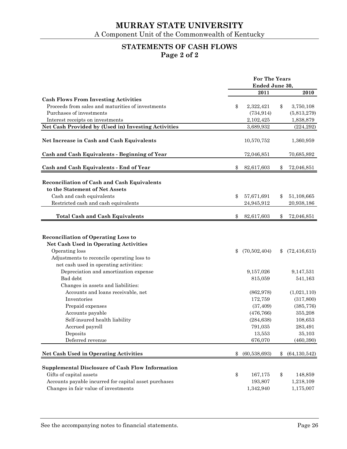# **STATEMENTS OF CASH FLOWS Page 2 of 2**

|                                                         | For The Years |                |    |                |
|---------------------------------------------------------|---------------|----------------|----|----------------|
|                                                         |               | Ended June 30, |    |                |
|                                                         |               | 2011           |    | 2010           |
| <b>Cash Flows From Investing Activities</b>             |               |                |    |                |
| Proceeds from sales and maturities of investments       | \$            | 2,322,421      | \$ | 3,750,108      |
| Purchases of investments                                |               | (734, 914)     |    | (5,813,279)    |
| Interest receipts on investments                        |               | 2,102,425      |    | 1,838,879      |
| Net Cash Provided by (Used in) Investing Activities     |               | 3,689,932      |    | (224, 292)     |
| Net Increase in Cash and Cash Equivalents               |               | 10,570,752     |    | 1,360,959      |
| Cash and Cash Equivalents - Beginning of Year           |               | 72,046,851     |    | 70,685,892     |
| Cash and Cash Equivalents - End of Year                 | \$            | 82,617,603     | \$ | 72,046,851     |
|                                                         |               |                |    |                |
| Reconciliation of Cash and Cash Equivalents             |               |                |    |                |
| to the Statement of Net Assets                          |               |                |    |                |
| Cash and cash equivalents                               | \$            | 57,671,691     | \$ | 51,108,665     |
| Restricted cash and cash equivalents                    |               | 24,945,912     |    | 20,938,186     |
| <b>Total Cash and Cash Equivalents</b>                  | \$            | 82,617,603     | \$ | 72,046,851     |
|                                                         |               |                |    |                |
| <b>Reconciliation of Operating Loss to</b>              |               |                |    |                |
| <b>Net Cash Used in Operating Activities</b>            |               |                |    |                |
| Operating loss                                          | \$            | (70, 502, 404) | \$ | (72, 416, 615) |
| Adjustments to reconcile operating loss to              |               |                |    |                |
| net cash used in operating activities:                  |               |                |    |                |
| Depreciation and amortization expense                   |               | 9,157,026      |    | 9,147,531      |
| Bad debt                                                |               | 815,059        |    | 541,163        |
| Changes in assets and liabilities:                      |               |                |    |                |
| Accounts and loans receivable, net                      |               | (862, 978)     |    | (1,021,110)    |
| Inventories                                             |               | 172,759        |    | (317, 800)     |
| Prepaid expenses                                        |               | (37, 409)      |    | (385, 776)     |
| Accounts payable                                        |               | (476, 766)     |    | 355,208        |
| Self-insured health liability                           |               | (284, 638)     |    | 108,653        |
| Accrued payroll                                         |               | 791,035        |    | 283,491        |
| Deposits                                                |               | 13,553         |    | 35,103         |
| Deferred revenue                                        |               | 676,070        |    | (460, 390)     |
| <b>Net Cash Used in Operating Activities</b>            | \$            | (60, 538, 693) | \$ | (64, 130, 542) |
| <b>Supplemental Disclosure of Cash Flow Information</b> |               |                |    |                |
| Gifts of capital assets                                 | \$            | 167,175        | \$ | 148,859        |
| Accounts payable incurred for capital asset purchases   |               | 193,807        |    | 1,218,109      |
| Changes in fair value of investments                    |               | 1,342,940      |    | 1,175,007      |
|                                                         |               |                |    |                |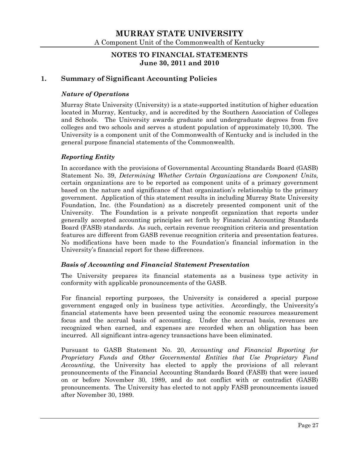# **NOTES TO FINANCIAL STATEMENTS June 30, 2011 and 2010**

# **1. Summary of Significant Accounting Policies**

## *Nature of Operations*

Murray State University (University) is a state-supported institution of higher education located in Murray, Kentucky, and is accredited by the Southern Association of Colleges and Schools. The University awards graduate and undergraduate degrees from five colleges and two schools and serves a student population of approximately 10,300. The University is a component unit of the Commonwealth of Kentucky and is included in the general purpose financial statements of the Commonwealth.

#### *Reporting Entity*

In accordance with the provisions of Governmental Accounting Standards Board (GASB) Statement No. 39, *Determining Whether Certain Organizations are Component Units,* certain organizations are to be reported as component units of a primary government based on the nature and significance of that organization's relationship to the primary government. Application of this statement results in including Murray State University Foundation, Inc. (the Foundation) as a discretely presented component unit of the University. The Foundation is a private nonprofit organization that reports under generally accepted accounting principles set forth by Financial Accounting Standards Board (FASB) standards. As such, certain revenue recognition criteria and presentation features are different from GASB revenue recognition criteria and presentation features. No modifications have been made to the Foundation's financial information in the University's financial report for these differences.

#### *Basis of Accounting and Financial Statement Presentation*

The University prepares its financial statements as a business type activity in conformity with applicable pronouncements of the GASB.

For financial reporting purposes, the University is considered a special purpose government engaged only in business type activities. Accordingly, the University's financial statements have been presented using the economic resources measurement focus and the accrual basis of accounting. Under the accrual basis, revenues are recognized when earned, and expenses are recorded when an obligation has been incurred. All significant intra-agency transactions have been eliminated.

Pursuant to GASB Statement No. 20, *Accounting and Financial Reporting for Proprietary Funds and Other Governmental Entities that Use Proprietary Fund Accounting*, the University has elected to apply the provisions of all relevant pronouncements of the Financial Accounting Standards Board (FASB) that were issued on or before November 30, 1989, and do not conflict with or contradict (GASB) pronouncements. The University has elected to not apply FASB pronouncements issued after November 30, 1989.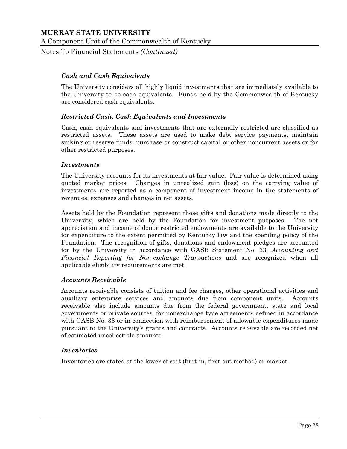Notes To Financial Statements *(Continued)*

#### *Cash and Cash Equivalents*

The University considers all highly liquid investments that are immediately available to the University to be cash equivalents. Funds held by the Commonwealth of Kentucky are considered cash equivalents.

#### *Restricted Cash, Cash Equivalents and Investments*

Cash, cash equivalents and investments that are externally restricted are classified as restricted assets. These assets are used to make debt service payments, maintain sinking or reserve funds, purchase or construct capital or other noncurrent assets or for other restricted purposes.

#### *Investments*

The University accounts for its investments at fair value. Fair value is determined using quoted market prices. Changes in unrealized gain (loss) on the carrying value of investments are reported as a component of investment income in the statements of revenues, expenses and changes in net assets.

Assets held by the Foundation represent those gifts and donations made directly to the University, which are held by the Foundation for investment purposes. The net appreciation and income of donor restricted endowments are available to the University for expenditure to the extent permitted by Kentucky law and the spending policy of the Foundation. The recognition of gifts, donations and endowment pledges are accounted for by the University in accordance with GASB Statement No. 33, *Accounting and Financial Reporting for Non-exchange Transactions* and are recognized when all applicable eligibility requirements are met.

#### *Accounts Receivable*

Accounts receivable consists of tuition and fee charges, other operational activities and auxiliary enterprise services and amounts due from component units. Accounts receivable also include amounts due from the federal government, state and local governments or private sources, for nonexchange type agreements defined in accordance with GASB No. 33 or in connection with reimbursement of allowable expenditures made pursuant to the University's grants and contracts. Accounts receivable are recorded net of estimated uncollectible amounts.

#### *Inventories*

Inventories are stated at the lower of cost (first-in, first-out method) or market.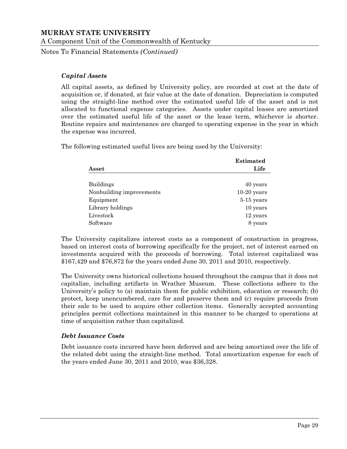Notes To Financial Statements *(Continued)*

#### *Capital Assets*

All capital assets, as defined by University policy, are recorded at cost at the date of acquisition or, if donated, at fair value at the date of donation. Depreciation is computed using the straight-line method over the estimated useful life of the asset and is not allocated to functional expense categories. Assets under capital leases are amortized over the estimated useful life of the asset or the lease term, whichever is shorter. Routine repairs and maintenance are charged to operating expense in the year in which the expense was incurred.

The following estimated useful lives are being used by the University:

|                          | <b>Estimated</b> |
|--------------------------|------------------|
| Asset                    | Life             |
| <b>Buildings</b>         | 40 years         |
| Nonbuilding improvements | $10-20$ years    |
| Equipment                | $5-15$ years     |
| Library holdings         | 10 years         |
| Livestock                | 12 years         |
| Software                 | 8 years          |

The University capitalizes interest costs as a component of construction in progress, based on interest costs of borrowing specifically for the project, net of interest earned on investments acquired with the proceeds of borrowing. Total interest capitalized was \$167,429 and \$76,872 for the years ended June 30, 2011 and 2010, respectively.

The University owns historical collections housed throughout the campus that it does not capitalize, including artifacts in Wrather Museum. These collections adhere to the University's policy to (a) maintain them for public exhibition, education or research; (b) protect, keep unencumbered, care for and preserve them and (c) require proceeds from their sale to be used to acquire other collection items. Generally accepted accounting principles permit collections maintained in this manner to be charged to operations at time of acquisition rather than capitalized.

## *Debt Issuance Costs*

Debt issuance costs incurred have been deferred and are being amortized over the life of the related debt using the straight-line method. Total amortization expense for each of the years ended June 30, 2011 and 2010, was \$36,328.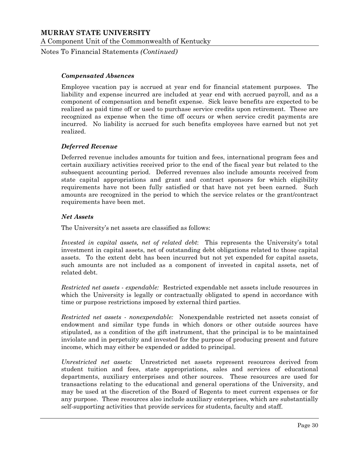Notes To Financial Statements *(Continued)*

#### *Compensated Absences*

Employee vacation pay is accrued at year end for financial statement purposes. The liability and expense incurred are included at year end with accrued payroll, and as a component of compensation and benefit expense. Sick leave benefits are expected to be realized as paid time off or used to purchase service credits upon retirement. These are recognized as expense when the time off occurs or when service credit payments are incurred. No liability is accrued for such benefits employees have earned but not yet realized.

#### *Deferred Revenue*

Deferred revenue includes amounts for tuition and fees, international program fees and certain auxiliary activities received prior to the end of the fiscal year but related to the subsequent accounting period. Deferred revenues also include amounts received from state capital appropriations and grant and contract sponsors for which eligibility requirements have not been fully satisfied or that have not yet been earned. Such amounts are recognized in the period to which the service relates or the grant/contract requirements have been met.

#### *Net Assets*

The University's net assets are classified as follows:

*Invested in capital assets, net of related debt*: This represents the University's total investment in capital assets, net of outstanding debt obligations related to those capital assets. To the extent debt has been incurred but not yet expended for capital assets, such amounts are not included as a component of invested in capital assets, net of related debt.

*Restricted net assets - expendable:* Restricted expendable net assets include resources in which the University is legally or contractually obligated to spend in accordance with time or purpose restrictions imposed by external third parties.

*Restricted net assets - nonexpendable:* Nonexpendable restricted net assets consist of endowment and similar type funds in which donors or other outside sources have stipulated, as a condition of the gift instrument, that the principal is to be maintained inviolate and in perpetuity and invested for the purpose of producing present and future income, which may either be expended or added to principal.

*Unrestricted net assets:* Unrestricted net assets represent resources derived from student tuition and fees, state appropriations, sales and services of educational departments, auxiliary enterprises and other sources. These resources are used for transactions relating to the educational and general operations of the University, and may be used at the discretion of the Board of Regents to meet current expenses or for any purpose. These resources also include auxiliary enterprises, which are substantially self-supporting activities that provide services for students, faculty and staff.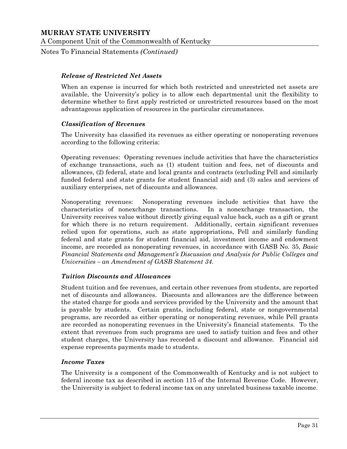Notes To Financial Statements *(Continued)*

#### *Release of Restricted Net Assets*

When an expense is incurred for which both restricted and unrestricted net assets are available, the University's policy is to allow each departmental unit the flexibility to determine whether to first apply restricted or unrestricted resources based on the most advantageous application of resources in the particular circumstances.

#### *Classification of Revenues*

The University has classified its revenues as either operating or nonoperating revenues according to the following criteria:

Operating revenues: Operating revenues include activities that have the characteristics of exchange transactions, such as (1) student tuition and fees, net of discounts and allowances, (2) federal, state and local grants and contracts (excluding Pell and similarly funded federal and state grants for student financial aid) and (3) sales and services of auxiliary enterprises, net of discounts and allowances.

Nonoperating revenues: Nonoperating revenues include activities that have the characteristics of nonexchange transactions. In a nonexchange transaction, the University receives value without directly giving equal value back, such as a gift or grant for which there is no return requirement. Additionally, certain significant revenues relied upon for operations, such as state appropriations, Pell and similarly funding federal and state grants for student financial aid, investment income and endowment income, are recorded as nonoperating revenues, in accordance with GASB No. 35, *Basic Financial Statements and Management's Discussion and Analysis for Public Colleges and Universities – an Amendment of GASB Statement 34*.

#### *Tuition Discounts and Allowances*

Student tuition and fee revenues, and certain other revenues from students, are reported net of discounts and allowances. Discounts and allowances are the difference between the stated charge for goods and services provided by the University and the amount that is payable by students. Certain grants, including federal, state or nongovernmental programs, are recorded as either operating or nonoperating revenues, while Pell grants are recorded as nonoperating revenues in the University's financial statements. To the extent that revenues from such programs are used to satisfy tuition and fees and other student charges, the University has recorded a discount and allowance. Financial aid expense represents payments made to students.

#### *Income Taxes*

The University is a component of the Commonwealth of Kentucky and is not subject to federal income tax as described in section 115 of the Internal Revenue Code. However, the University is subject to federal income tax on any unrelated business taxable income.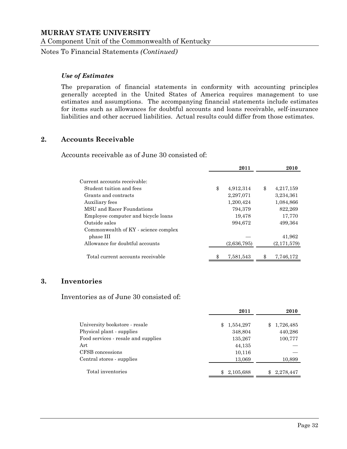Notes To Financial Statements *(Continued)*

## *Use of Estimates*

The preparation of financial statements in conformity with accounting principles generally accepted in the United States of America requires management to use estimates and assumptions. The accompanying financial statements include estimates for items such as allowances for doubtful accounts and loans receivable, self-insurance liabilities and other accrued liabilities. Actual results could differ from those estimates.

## **2. Accounts Receivable**

Accounts receivable as of June 30 consisted of:

|                                      | 2011            | 2010            |
|--------------------------------------|-----------------|-----------------|
| Current accounts receivable:         |                 |                 |
| Student tuition and fees             | \$<br>4,912,314 | \$<br>4,217,159 |
| Grants and contracts                 | 2,297,071       | 3,234,361       |
| Auxiliary fees                       | 1,200,424       | 1,084,866       |
| MSU and Racer Foundations            | 794,379         | 822,269         |
| Employee computer and bicycle loans  | 19,478          | 17,770          |
| Outside sales                        | 994,672         | 499,364         |
| Commonwealth of KY - science complex |                 |                 |
| phase III                            |                 | 41,962          |
| Allowance for doubtful accounts      | (2,636,795)     | (2,171,579)     |
|                                      |                 |                 |
| Total current accounts receivable    | \$<br>7,581,543 | \$<br>7,746,172 |

# **3. Inventories**

Inventories as of June 30 consisted of:

|                                     | 2011            | 2010            |
|-------------------------------------|-----------------|-----------------|
| University bookstore - resale       | 1,554,297<br>\$ | 1,726,485<br>\$ |
| Physical plant - supplies           | 348,804         | 440,286         |
| Food services - resale and supplies | 135,267         | 100,777         |
| Art                                 | 44,135          |                 |
| CFSB concessions                    | 10,116          |                 |
| Central stores - supplies           | 13,069          | 10,899          |
| Total inventories                   | 2,105,688       | 2,278,447<br>\$ |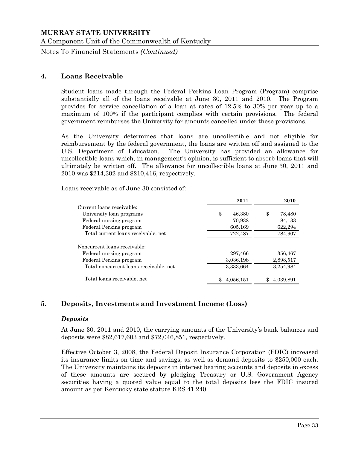Notes To Financial Statements *(Continued)*

## **4. Loans Receivable**

Student loans made through the Federal Perkins Loan Program (Program) comprise substantially all of the loans receivable at June 30, 2011 and 2010. The Program provides for service cancellation of a loan at rates of 12.5% to 30% per year up to a maximum of 100% if the participant complies with certain provisions. The federal government reimburses the University for amounts cancelled under these provisions.

As the University determines that loans are uncollectible and not eligible for reimbursement by the federal government, the loans are written off and assigned to the U.S. Department of Education. The University has provided an allowance for uncollectible loans which, in management's opinion, is sufficient to absorb loans that will ultimately be written off. The allowance for uncollectible loans at June 30, 2011 and 2010 was \$214,302 and \$210,416, respectively.

Loans receivable as of June 30 consisted of:

|                                        | 2011         | 2010         |
|----------------------------------------|--------------|--------------|
| Current loans receivable:              |              |              |
| University loan programs               | \$<br>46,380 | 78,480<br>\$ |
| Federal nursing program                | 70,938       | 84,133       |
| Federal Perkins program                | 605,169      | 622,294      |
| Total current loans receivable, net    | 722,487      | 784,907      |
| Noncurrent loans receivable:           |              |              |
| Federal nursing program                | 297,466      | 356,467      |
| Federal Perkins program                | 3,036,198    | 2,898,517    |
| Total noncurrent loans receivable, net | 3,333,664    | 3,254,984    |
| Total loans receivable, net            | 4,056,151    | 4,039,891    |

# **5. Deposits, Investments and Investment Income (Loss)**

#### *Deposits*

At June 30, 2011 and 2010, the carrying amounts of the University's bank balances and deposits were \$82,617,603 and \$72,046,851, respectively.

Effective October 3, 2008, the Federal Deposit Insurance Corporation (FDIC) increased its insurance limits on time and savings, as well as demand deposits to \$250,000 each. The University maintains its deposits in interest bearing accounts and deposits in excess of these amounts are secured by pledging Treasury or U.S. Government Agency securities having a quoted value equal to the total deposits less the FDIC insured amount as per Kentucky state statute KRS 41.240.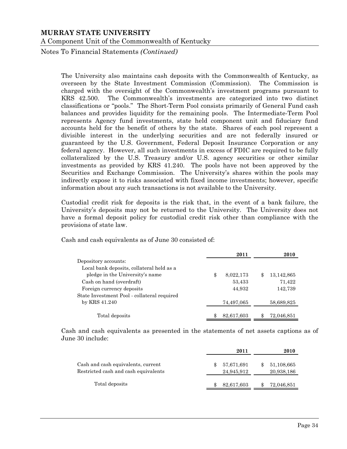Notes To Financial Statements *(Continued)*

The University also maintains cash deposits with the Commonwealth of Kentucky, as overseen by the State Investment Commission (Commission). The Commission is charged with the oversight of the Commonwealth's investment programs pursuant to KRS 42.500. The Commonwealth's investments are categorized into two distinct classifications or "pools." The Short-Term Pool consists primarily of General Fund cash balances and provides liquidity for the remaining pools. The Intermediate-Term Pool represents Agency fund investments, state held component unit and fiduciary fund accounts held for the benefit of others by the state. Shares of each pool represent a divisible interest in the underlying securities and are not federally insured or guaranteed by the U.S. Government, Federal Deposit Insurance Corporation or any federal agency. However, all such investments in excess of FDIC are required to be fully collateralized by the U.S. Treasury and/or U.S. agency securities or other similar investments as provided by KRS 41.240. The pools have not been approved by the Securities and Exchange Commission. The University's shares within the pools may indirectly expose it to risks associated with fixed income investments; however, specific information about any such transactions is not available to the University.

Custodial credit risk for deposits is the risk that, in the event of a bank failure, the University's deposits may not be returned to the University. The University does not have a formal deposit policy for custodial credit risk other than compliance with the provisions of state law.

Cash and cash equivalents as of June 30 consisted of:

|                                             | 2011            | 2010             |
|---------------------------------------------|-----------------|------------------|
| Depository accounts:                        |                 |                  |
| Local bank deposits, collateral held as a   |                 |                  |
| pledge in the University's name             | \$<br>8,022,173 | \$<br>13,142,865 |
| Cash on hand (overdraft)                    | 53,433          | 71,422           |
| Foreign currency deposits                   | 44,932          | 142,739          |
| State Investment Pool - collateral required |                 |                  |
| by KRS 41.240                               | 74,497,065      | 58,689,825       |
| Total deposits                              | 82,617,603      | \$<br>72,046,851 |

Cash and cash equivalents as presented in the statements of net assets captions as of June 30 include:

|                                                                            | 2011                           | 2010                     |
|----------------------------------------------------------------------------|--------------------------------|--------------------------|
| Cash and cash equivalents, current<br>Restricted cash and cash equivalents | \$<br>57,671,691<br>24,945,912 | 51,108,665<br>20,938,186 |
| Total deposits                                                             | 82,617,603                     | 72,046,851               |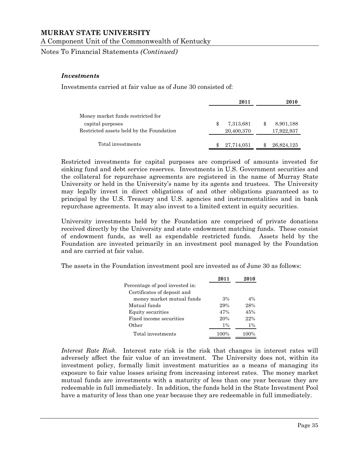A Component Unit of the Commonwealth of Kentucky

Notes To Financial Statements *(Continued)*

#### *Investments*

Investments carried at fair value as of June 30 consisted of:

|                                          |    | 2011       |     | 2010       |
|------------------------------------------|----|------------|-----|------------|
| Money market funds restricted for        |    |            |     |            |
| capital purposes                         | S  | 7,313,681  | \$. | 8,901,188  |
| Restricted assets held by the Foundation |    | 20,400,370 |     | 17,922,937 |
| Total investments                        | \$ | 27,714,051 |     | 26,824,125 |

Restricted investments for capital purposes are comprised of amounts invested for sinking fund and debt service reserves. Investments in U.S. Government securities and the collateral for repurchase agreements are registered in the name of Murray State University or held in the University's name by its agents and trustees. The University may legally invest in direct obligations of and other obligations guaranteed as to principal by the U.S. Treasury and U.S. agencies and instrumentalities and in bank repurchase agreements. It may also invest to a limited extent in equity securities.

University investments held by the Foundation are comprised of private donations received directly by the University and state endowment matching funds. These consist of endowment funds, as well as expendable restricted funds. Assets held by the Foundation are invested primarily in an investment pool managed by the Foundation and are carried at fair value.

The assets in the Foundation investment pool are invested as of June 30 as follows:

|                                 | 2011  | 2010  |
|---------------------------------|-------|-------|
| Percentage of pool invested in: |       |       |
| Certificates of deposit and     |       |       |
| money market mutual funds       | 3%    | $4\%$ |
| Mutual funds                    | 29%   | 28%   |
| Equity securities               | 47%   | 45%   |
| Fixed income securities         | 20%   | 22%   |
| Other                           | $1\%$ | $1\%$ |
| Total investments               | 100%  | 100%  |

*Interest Rate Risk*. Interest rate risk is the risk that changes in interest rates will adversely affect the fair value of an investment. The University does not, within its investment policy, formally limit investment maturities as a means of managing its exposure to fair value losses arising from increasing interest rates. The money market mutual funds are investments with a maturity of less than one year because they are redeemable in full immediately. In addition, the funds held in the State Investment Pool have a maturity of less than one year because they are redeemable in full immediately.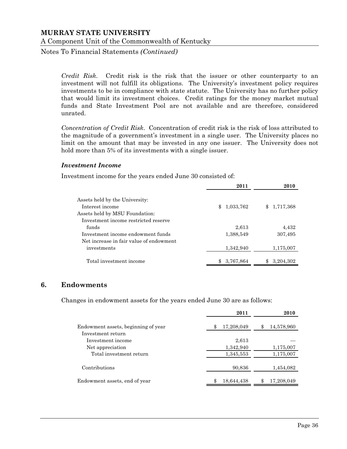Notes To Financial Statements *(Continued)*

*Credit Risk*. Credit risk is the risk that the issuer or other counterparty to an investment will not fulfill its obligations. The University's investment policy requires investments to be in compliance with state statute. The University has no further policy that would limit its investment choices. Credit ratings for the money market mutual funds and State Investment Pool are not available and are therefore, considered unrated.

*Concentration of Credit Risk*. Concentration of credit risk is the risk of loss attributed to the magnitude of a government's investment in a single user. The University places no limit on the amount that may be invested in any one issuer. The University does not hold more than 5% of its investments with a single issuer.

#### *Investment Income*

Investment income for the years ended June 30 consisted of:

|                                                   | 2011            | 2010      |
|---------------------------------------------------|-----------------|-----------|
| Assets held by the University:<br>Interest income | 1,033,762<br>\$ | 1,717,368 |
| Assets held by MSU Foundation:                    |                 |           |
| Investment income restricted reserve              |                 |           |
| funds                                             | 2.613           | 4,432     |
| Investment income endowment funds                 | 1,388,549       | 307,495   |
| Net increase in fair value of endowment           |                 |           |
| investments                                       | 1,342,940       | 1,175,007 |
| Total investment income                           | 3,767,864       | 3,204,302 |

# **6. Endowments**

Changes in endowment assets for the years ended June 30 are as follows:

| 2011             | 2010             |
|------------------|------------------|
| 17,208,049<br>\$ | 14,578,960<br>\$ |
|                  |                  |
| 2,613            |                  |
| 1,342,940        | 1,175,007        |
| 1,345,553        | 1,175,007        |
| 90,836           | 1,454,082        |
| 18,644,438       | 17,208,049<br>\$ |
|                  |                  |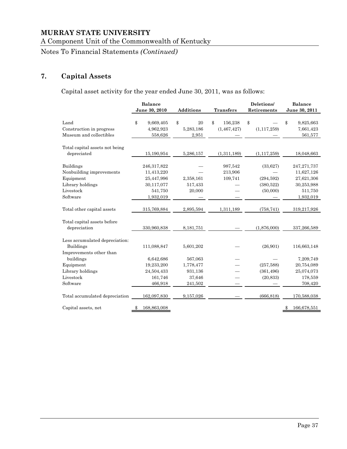A Component Unit of the Commonwealth of Kentucky

Notes To Financial Statements *(Continued)*

# **7. Capital Assets**

Capital asset activity for the year ended June 30, 2011, was as follows:

|                                                                                                        | <b>Balance</b><br>June 30, 2010                                               | <b>Additions</b>                          | <b>Transfers</b>               | Deletions/<br>Retirements                       | <b>Balance</b><br>June 30, 2011                                                 |  |
|--------------------------------------------------------------------------------------------------------|-------------------------------------------------------------------------------|-------------------------------------------|--------------------------------|-------------------------------------------------|---------------------------------------------------------------------------------|--|
| Land<br>Construction in progress<br>Museum and collectibles                                            | \$<br>9,669,405<br>4,962,923<br>558,626                                       | \$<br>20<br>5,283,186<br>2,951            | \$<br>156,238<br>(1, 467, 427) | \$<br>(1, 117, 259)                             | 9,825,663<br>\$<br>7,661,423<br>561,577                                         |  |
| Total capital assets not being<br>depreciated                                                          | 15,190,954                                                                    | 5,286,157                                 | (1,311,189)                    | (1, 117, 259)                                   | 18,048,663                                                                      |  |
| <b>Buildings</b><br>Nonbuilding improvements<br>Equipment<br>Library holdings<br>Livestock<br>Software | 246,317,822<br>11,413,220<br>25,447,996<br>30,117,077<br>541,750<br>1,932,019 | 2,358,161<br>517,433<br>20,000            | 987,542<br>213,906<br>109,741  | (33,627)<br>(294, 592)<br>(380,522)<br>(50,000) | 247, 271, 737<br>11,627,126<br>27,621,306<br>30,253,988<br>511,750<br>1,932,019 |  |
| Total other capital assets                                                                             | 315,769,884                                                                   | 2,895,594                                 | 1,311,189                      | (758, 741)                                      | 319,217,926                                                                     |  |
| Total capital assets before<br>depreciation                                                            | 330,960,838                                                                   | 8,181,751                                 |                                | (1,876,000)                                     | 337,266,589                                                                     |  |
| Less accumulated depreciation:<br><b>Buildings</b><br>Improvements other than                          | 111,088,847                                                                   | 5,601,202                                 |                                | (26, 901)                                       | 116,663,148                                                                     |  |
| buildings<br>Equipment<br>Library holdings<br>Livestock                                                | 6,642,686<br>19,233,200<br>24,504,433<br>161,746                              | 567,063<br>1,778,477<br>931,136<br>37,646 |                                | (257, 588)<br>(361, 496)<br>(20, 833)           | 7,209,749<br>20,754,089<br>25,074,073<br>178,559                                |  |
| Software<br>Total accumulated depreciation                                                             | 466,918<br>162,097,830                                                        | 241,502<br>9,157,026                      |                                | (666, 818)                                      | 708,420<br>170,588,038                                                          |  |
| Capital assets, net                                                                                    | 168,863,008                                                                   |                                           |                                |                                                 | 166,678,551<br>\$                                                               |  |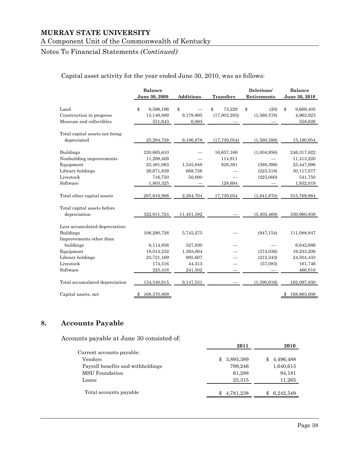#### A Component Unit of the Commonwealth of Kentucky

# Notes To Financial Statements *(Continued)*

# Capital asset activity for the year ended June 30, 2010, was as follows:

|                                                                                                        | <b>Balance</b><br>June 30, 2009                                               | <b>Additions</b>                          | <b>Transfers</b>                            | Deletions/<br>Retirements                            | <b>Balance</b><br>June 30, 2010                                               |
|--------------------------------------------------------------------------------------------------------|-------------------------------------------------------------------------------|-------------------------------------------|---------------------------------------------|------------------------------------------------------|-------------------------------------------------------------------------------|
| Land<br>Construction in progress<br>Museum and collectibles                                            | \$<br>9,596,196<br>15,146,889<br>551,643                                      | \$<br>9,179,895<br>6,983                  | \$<br>73,229<br>(17,803,283)                | \$<br>(20)<br>(1,560,578)                            | \$<br>9,669,405<br>4,962,923<br>558,626                                       |
| Total capital assets not being<br>depreciated                                                          | 25,294,728                                                                    | 9,186,878                                 | (17,730,054)                                | (1,560,598)                                          | 15,190,954                                                                    |
| <b>Buildings</b><br>Nonbuilding improvements<br>Equipment<br>Library holdings<br>Livestock<br>Software | 230,665,610<br>11,298,409<br>23,461,063<br>29,671,839<br>716,750<br>1,803,325 | 1,545,948<br>668,756<br>50,000            | 16,657,168<br>114,811<br>829,381<br>128,694 | (1,004,956)<br>(388, 396)<br>(223, 518)<br>(225,000) | 246,317,822<br>11,413,220<br>25,447,996<br>30,117,077<br>541,750<br>1,932,019 |
| Total other capital assets                                                                             | 297,616,996                                                                   | 2,264,704                                 | 17,730,054                                  | (1,841,870)                                          | 315,769,884                                                                   |
| Total capital assets before<br>depreciation                                                            | 322,911,724                                                                   | 11,451,582                                |                                             | (3,402,468)                                          | 330,960,838                                                                   |
| Less accumulated depreciation:<br><b>Buildings</b><br>Improvements other than                          | 106,290,726                                                                   | 5,745,275                                 |                                             | (947, 154)                                           | 111,088,847                                                                   |
| buildings<br>Equipment<br>Library holdings<br>Livestock                                                | 6,114,856<br>18,014,232<br>23,721,169<br>174,516                              | 527,830<br>1,593,004<br>995,607<br>44,313 |                                             | (374, 036)<br>(212, 343)<br>(57,083)                 | 6,642,686<br>19,233,200<br>24,504,433<br>161,746                              |
| Software<br>Total accumulated depreciation                                                             | 225,416<br>154,540,915                                                        | 241,502<br>9,147,531                      |                                             | (1,590,616)                                          | 466,918<br>162,097,830                                                        |
| Capital assets, net                                                                                    | 168,370,809<br>\$                                                             |                                           |                                             |                                                      | 168,863,008                                                                   |

# **8. Accounts Payable**

Accounts payable at June 30 consisted of:

|                                   | 2011            | 2010             |
|-----------------------------------|-----------------|------------------|
| Current accounts payable:         |                 |                  |
| Vendors                           | 3,895,389<br>\$ | 4,496,488<br>\$. |
| Payroll benefits and withholdings | 799,246         | 1,640,615        |
| MSU Foundation                    | 61,288          | 94,181           |
| Loans                             | 25,315          | 11,265           |
| Total accounts payable            | 4,781,238       | 6,242,549<br>\$. |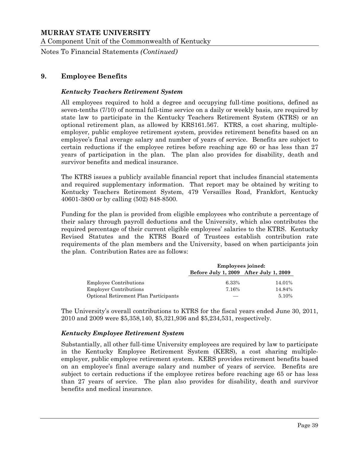A Component Unit of the Commonwealth of Kentucky

Notes To Financial Statements *(Continued)*

# **9. Employee Benefits**

#### *Kentucky Teachers Retirement System*

All employees required to hold a degree and occupying full-time positions, defined as seven-tenths (7/10) of normal full-time service on a daily or weekly basis, are required by state law to participate in the Kentucky Teachers Retirement System (KTRS) or an optional retirement plan, as allowed by KRS161.567. KTRS, a cost sharing, multipleemployer, public employee retirement system, provides retirement benefits based on an employee's final average salary and number of years of service. Benefits are subject to certain reductions if the employee retires before reaching age 60 or has less than 27 years of participation in the plan. The plan also provides for disability, death and survivor benefits and medical insurance.

The KTRS issues a publicly available financial report that includes financial statements and required supplementary information. That report may be obtained by writing to Kentucky Teachers Retirement System, 479 Versailles Road, Frankfort, Kentucky 40601-3800 or by calling (502) 848-8500.

Funding for the plan is provided from eligible employees who contribute a percentage of their salary through payroll deductions and the University, which also contributes the required percentage of their current eligible employees' salaries to the KTRS. Kentucky Revised Statutes and the KTRS Board of Trustees establish contribution rate requirements of the plan members and the University, based on when participants join the plan. Contribution Rates are as follows:

|                                       | <b>Employees joined:</b>               |        |  |  |  |
|---------------------------------------|----------------------------------------|--------|--|--|--|
|                                       | Before July 1, 2009 After July 1, 2009 |        |  |  |  |
| <b>Employee Contributions</b>         | 6.33%                                  | 14.01% |  |  |  |
| <b>Employer Contributions</b>         | 7.16%                                  | 14.84% |  |  |  |
| Optional Retirement Plan Participants |                                        | 5.10%  |  |  |  |

The University's overall contributions to KTRS for the fiscal years ended June 30, 2011, 2010 and 2009 were \$5,358,140, \$5,321,936 and \$5,234,531, respectively.

#### *Kentucky Employee Retirement System*

Substantially, all other full-time University employees are required by law to participate in the Kentucky Employee Retirement System (KERS), a cost sharing multipleemployer, public employee retirement system. KERS provides retirement benefits based on an employee's final average salary and number of years of service. Benefits are subject to certain reductions if the employee retires before reaching age 65 or has less than 27 years of service. The plan also provides for disability, death and survivor benefits and medical insurance.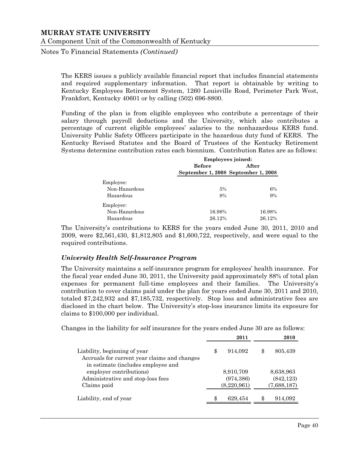Notes To Financial Statements *(Continued)*

The KERS issues a publicly available financial report that includes financial statements and required supplementary information. That report is obtainable by writing to Kentucky Employees Retirement System, 1260 Louisville Road, Perimeter Park West, Frankfort, Kentucky 40601 or by calling (502) 696-8800.

Funding of the plan is from eligible employees who contribute a percentage of their salary through payroll deductions and the University, which also contributes a percentage of current eligible employees' salaries to the nonhazardous KERS fund. University Public Safety Officers participate in the hazardous duty fund of KERS. The Kentucky Revised Statutes and the Board of Trustees of the Kentucky Retirement Systems determine contribution rates each biennium. Contribution Rates are as follows:

|               |               | <b>Employees joined:</b>            |  |  |  |  |
|---------------|---------------|-------------------------------------|--|--|--|--|
|               | <b>Before</b> | After                               |  |  |  |  |
|               |               | September 1, 2008 September 1, 2008 |  |  |  |  |
| Employee:     |               |                                     |  |  |  |  |
| Non-Hazardous | 5%            | 6%                                  |  |  |  |  |
| Hazardous     | 8%            | 9%                                  |  |  |  |  |
| Employer:     |               |                                     |  |  |  |  |
| Non-Hazardous | 16.98%        | 16.98%                              |  |  |  |  |
| Hazardous     | 26.12%        | 26.12%                              |  |  |  |  |

The University's contributions to KERS for the years ended June 30, 2011, 2010 and 2009, were \$2,561,430, \$1,812,805 and \$1,600,722, respectively, and were equal to the required contributions.

## *University Health Self-Insurance Program*

The University maintains a self-insurance program for employees' health insurance. For the fiscal year ended June 30, 2011, the University paid approximately 88% of total plan expenses for permanent full-time employees and their families. The University's contribution to cover claims paid under the plan for years ended June 30, 2011 and 2010, totaled \$7,242,932 and \$7,185,732, respectively. Stop loss and administrative fees are disclosed in the chart below. The University's stop-loss insurance limits its exposure for claims to \$100,000 per individual.

Changes in the liability for self insurance for the years ended June 30 are as follows:

|                                                                                                                    | 2011          | 2010          |
|--------------------------------------------------------------------------------------------------------------------|---------------|---------------|
| Liability, beginning of year<br>Accruals for current year claims and changes<br>in estimate (includes employee and | \$<br>914,092 | \$<br>805,439 |
| employer contributions)                                                                                            | 8,910,709     | 8,638,963     |
| Administrative and stop-loss fees                                                                                  | (974, 386)    | (842, 123)    |
| Claims paid                                                                                                        | (8,220,961)   | (7,688,187)   |
| Liability, end of year                                                                                             | 629,454       | \$<br>914,092 |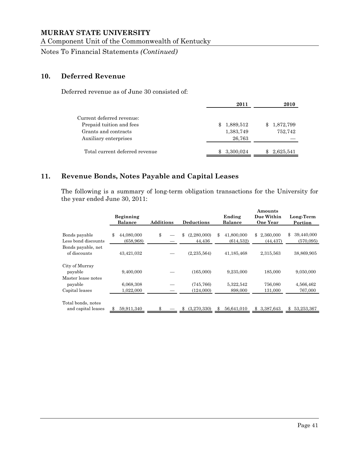A Component Unit of the Commonwealth of Kentucky

Notes To Financial Statements *(Continued)*

# **10. Deferred Revenue**

Deferred revenue as of June 30 consisted of:

|                                                                                                        | 2011                                   | 2010                 |
|--------------------------------------------------------------------------------------------------------|----------------------------------------|----------------------|
| Current deferred revenue:<br>Prepaid tuition and fees<br>Grants and contracts<br>Auxiliary enterprises | 1,889,512<br>\$<br>1,383,749<br>26,763 | 1,872,799<br>752,742 |
| Total current deferred revenue                                                                         | 3,300,024<br>Ж.                        | 2,625,541<br>\$      |

# **11. Revenue Bonds, Notes Payable and Capital Leases**

The following is a summary of long-term obligation transactions for the University for the year ended June 30, 2011:

|                     |                  |                  |    |                   |        |                | Amounts         |                  |
|---------------------|------------------|------------------|----|-------------------|--------|----------------|-----------------|------------------|
|                     | <b>Beginning</b> |                  |    |                   | Ending |                | Due Within      | Long-Term        |
|                     | <b>Balance</b>   | <b>Additions</b> |    | <b>Deductions</b> |        | <b>Balance</b> | <b>One Year</b> | Portion          |
|                     |                  |                  |    |                   |        |                |                 |                  |
| Bonds payable       | \$<br>44,080,000 | \$               | \$ | (2,280,000)       | \$     | 41,800,000     | \$<br>2,360,000 | \$<br>39,440,000 |
| Less bond discounts | (658, 968)       |                  |    | 44,436            |        | (614, 532)     | (44, 437)       | (570,095)        |
| Bonds payable, net  |                  |                  |    |                   |        |                |                 |                  |
| of discounts        | 43,421,032       |                  |    | (2, 235, 564)     |        | 41,185,468     | 2,315,563       | 38,869,905       |
|                     |                  |                  |    |                   |        |                |                 |                  |
| City of Murray      |                  |                  |    |                   |        |                |                 |                  |
| payable             | 9,400,000        |                  |    | (165,000)         |        | 9,235,000      | 185,000         | 9,050,000        |
| Master lease notes  |                  |                  |    |                   |        |                |                 |                  |
| payable             | 6,068,308        |                  |    | (745, 766)        |        | 5,322,542      | 756,080         | 4,566,462        |
| Capital leases      | 1.022.000        |                  |    | (124,000)         |        | 898,000        | 131,000         | 767,000          |
| Total bonds, notes  |                  |                  |    |                   |        |                |                 |                  |
| and capital leases  | 59,911,340       |                  |    | (3,270,330)       | \$     | 56,641,010     | \$<br>3,387,643 | \$<br>53,253,367 |
|                     |                  |                  |    |                   |        |                |                 |                  |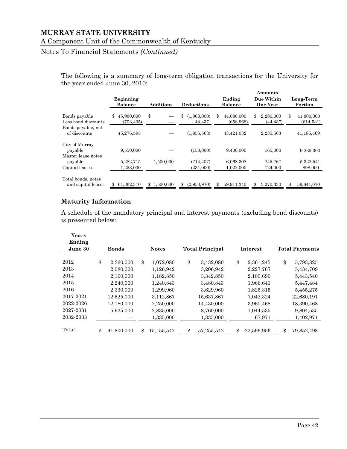# Notes To Financial Statements *(Continued)*

The following is a summary of long-term obligation transactions for the University for the year ended June 30, 2010:

|                                                 | <b>Beginning</b><br><b>Balance</b> | <b>Additions</b> | <b>Deductions</b>           | Ending<br><b>Balance</b>       | Amounts<br>Due Within<br><b>One Year</b> | Long-Term<br>Portion           |
|-------------------------------------------------|------------------------------------|------------------|-----------------------------|--------------------------------|------------------------------------------|--------------------------------|
| Bonds payable<br>Less bond discounts            | 45,980,000<br>\$<br>(703, 405)     | \$               | \$<br>(1,900,000)<br>44.437 | \$<br>44,080,000<br>(658, 968) | \$<br>2,280,000<br>(44,437)              | \$<br>41,800,000<br>(614, 531) |
| Bonds payable, net<br>of discounts              | 45,276,595                         |                  | (1,855,563)                 | 43,421,032                     | 2,235,563                                | 41,185,469                     |
| City of Murray<br>payable<br>Master lease notes | 9,550,000                          |                  | (150,000)                   | 9,400,000                      | 165,000                                  | 9,235,000                      |
| payable<br>Capital leases                       | 5,282,715<br>1.253,000             | 1,500,000        | (714, 407)<br>(231,000)     | 6,068,308<br>1,022,000         | 745,767<br>124,000                       | 5,322,541<br>898,000           |
| Total bonds, notes<br>and capital leases        | 61,362,310                         | 1.500,000<br>\$  | (2.950.970)<br>\$           | 59,911,340<br>\$               | 3,270,330<br>\$                          | \$<br>56,641,010               |

# **Maturity Information**

A schedule of the mandatory principal and interest payments (excluding bond discounts) is presented below:

| Years<br>Ending           |                          |                        |                          |                        |                          |  |  |
|---------------------------|--------------------------|------------------------|--------------------------|------------------------|--------------------------|--|--|
| June 30                   | <b>Bonds</b>             | <b>Notes</b>           | <b>Total Principal</b>   | Interest               | <b>Total Payments</b>    |  |  |
| 2012                      | \$<br>2,360,000          | \$<br>1,072,080        | \$<br>3,432,080          | \$<br>2,361,245        | \$<br>5,793,325          |  |  |
| 2013<br>2014              | 2,080,000<br>2,160,000   | 1,126,942<br>1,182,850 | 3,206,942<br>3,342,850   | 2,227,767<br>2,100,690 | 5,434,709<br>5,443,540   |  |  |
| 2015<br>2016<br>2017-2021 | 2,240,000<br>2,330,000   | 1,240,843<br>1,299,960 | 3,480,843<br>3,629,960   | 1,966,641<br>1,825,315 | 5,447,484<br>5,455,275   |  |  |
| 2022-2026                 | 12,525,000<br>12,180,000 | 3,112,867<br>2,250,000 | 15,637,867<br>14,430,000 | 7,042,324<br>3,960,468 | 22,680,191<br>18,390,468 |  |  |
| 2027-2031<br>2032-2033    | 5,925,000                | 2,835,000<br>1,335,000 | 8,760,000<br>1,335,000   | 1,044,535<br>67,971    | 9,804,535<br>1,402,971   |  |  |
| Total                     | 41,800,000               | \$<br>15,455,542       | 57,255,542               | 22,596,956             | \$<br>79,852,498         |  |  |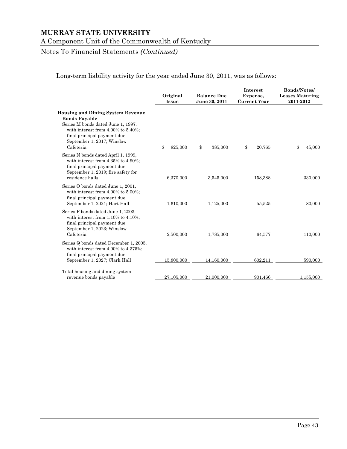A Component Unit of the Commonwealth of Kentucky

# Notes To Financial Statements *(Continued)*

Long-term liability activity for the year ended June 30, 2011, was as follows:

|                                                                                                                                                                                                                               | Original<br>Issue | <b>Balance Due</b><br>June 30, 2011 | Interest<br>Expense,<br><b>Current Year</b> | <b>Bonds/Notes/</b><br><b>Leases Maturing</b><br>2011-2012 |  |
|-------------------------------------------------------------------------------------------------------------------------------------------------------------------------------------------------------------------------------|-------------------|-------------------------------------|---------------------------------------------|------------------------------------------------------------|--|
| <b>Housing and Dining System Revenue</b><br><b>Bonds Payable</b><br>Series M bonds dated June 1, 1997,<br>with interest from $4.00\%$ to $5.40\%$ ;<br>final principal payment due<br>September 1, 2017; Winslow<br>Cafeteria | 825,000<br>\$     | \$<br>385,000                       | \$<br>20,765                                | \$<br>45,000                                               |  |
| Series N bonds dated April 1, 1999,<br>with interest from 4.35% to 4.90%;<br>final principal payment due<br>September 1, 2019; fire safety for<br>residence halls                                                             | 6,370,000         | 3,545,000                           | 158,388                                     | 330,000                                                    |  |
| Series O bonds dated June 1, 2001,<br>with interest from $4.00\%$ to $5.00\%$ ;<br>final principal payment due<br>September 1, 2021; Hart Hall                                                                                | 1,610,000         | 1,125,000                           | 55,525                                      | 80,000                                                     |  |
| Series P bonds dated June 1, 2003,<br>with interest from $1.10\%$ to $4.10\%$ ;<br>final principal payment due<br>September 1, 2023; Winslow<br>Cafeteria                                                                     | 2,500,000         | 1,785,000                           | 64,577                                      | 110,000                                                    |  |
| Series Q bonds dated December 1, 2005,<br>with interest from $4.00\%$ to $4.375\%$ ;<br>final principal payment due<br>September 1, 2027; Clark Hall                                                                          | 15,800,000        | 14,160,000                          | 602,211                                     | 590,000                                                    |  |
| Total housing and dining system<br>revenue bonds payable                                                                                                                                                                      | 27,105,000        | 21,000,000                          | 901,466                                     | 1,155,000                                                  |  |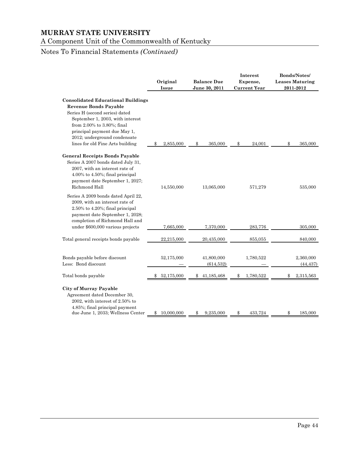A Component Unit of the Commonwealth of Kentucky

# Notes To Financial Statements *(Continued)*

|                                                                                                                                                                                                                                                                                   | Original<br><b>Issue</b> | <b>Balance Due</b><br>June 30, 2011 | Interest<br>Expense,<br><b>Current Year</b> | Bonds/Notes/<br><b>Leases Maturing</b><br>2011-2012 |
|-----------------------------------------------------------------------------------------------------------------------------------------------------------------------------------------------------------------------------------------------------------------------------------|--------------------------|-------------------------------------|---------------------------------------------|-----------------------------------------------------|
| <b>Consolidated Educational Buildings</b><br><b>Revenue Bonds Payable</b><br>Series H (second series) dated<br>September 1, 2003, with interest<br>from 2.00% to 3.80%; final<br>principal payment due May 1,<br>2012; underground condensate<br>lines for old Fine Arts building | 2,855,000<br>\$          | 365,000<br>\$                       | 24,001<br>\$                                | 365,000<br>\$                                       |
| <b>General Receipts Bonds Payable</b><br>Series A 2007 bonds dated July 31,<br>2007, with an interest rate of<br>4.00% to 4.50%; final principal<br>payment date September 1, 2027;<br>Richmond Hall                                                                              | 14,550,000               | 13,065,000                          | 571,279                                     | 535,000                                             |
| Series A 2009 bonds dated April 22,<br>2009, with an interest rate of<br>$2.50\%$ to $4.20\%$ ; final principal<br>payment date September 1, 2028;<br>completion of Richmond Hall and<br>under \$600,000 various projects                                                         | 7,665,000                | 7,370,000                           | 283,776                                     | 305,000                                             |
| Total general receipts bonds payable                                                                                                                                                                                                                                              | 22,215,000               | 20,435,000                          | 855,055                                     | 840,000                                             |
| Bonds payable before discount<br>Less: Bond discount                                                                                                                                                                                                                              | 52,175,000               | 41,800,000<br>(614, 532)            | 1,780,522                                   | 2,360,000<br>(44, 437)                              |
| Total bonds payable                                                                                                                                                                                                                                                               | 52,175,000<br>\$         | 41,185,468<br>\$                    | 1,780,522<br>\$                             | 2,315,563<br>\$                                     |
| <b>City of Murray Payable</b><br>Agreement dated December 30,<br>2002, with interest of 2.50% to<br>4.85%; final principal payment<br>due June 1, 2033; Wellness Center                                                                                                           | 10,000,000<br>\$         | 9,235,000<br>\$                     | 433,724<br>S                                | \$<br>185,000                                       |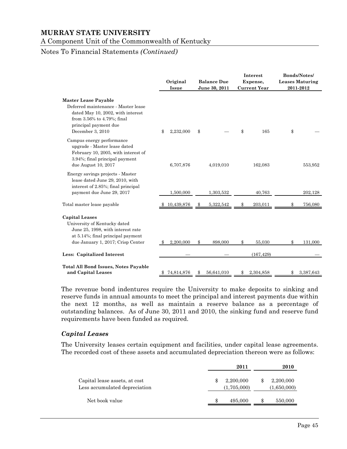A Component Unit of the Commonwealth of Kentucky

# Notes To Financial Statements *(Continued)*

|                                                                                                                                                                                    | Original<br>Issue | <b>Balance Due</b><br>June 30, 2011 | Interest<br>Expense,<br><b>Current Year</b> | <b>Bonds/Notes/</b><br><b>Leases Maturing</b><br>2011-2012 |
|------------------------------------------------------------------------------------------------------------------------------------------------------------------------------------|-------------------|-------------------------------------|---------------------------------------------|------------------------------------------------------------|
| <b>Master Lease Payable</b><br>Deferred maintenance - Master lease<br>dated May 10, 2002, with interest<br>from 3.56% to 4.79%; final<br>principal payment due<br>December 3, 2010 | 2,232,000<br>\$   | \$                                  | \$<br>165                                   | \$                                                         |
| Campus energy performance<br>upgrade - Master lease dated<br>February 10, 2005, with interest of<br>3.94%; final principal payment<br>due August 10, 2017                          | 6,707,876         | 4,019,010                           | 162,083                                     | 553,952                                                    |
| Energy savings projects - Master<br>lease dated June 29, 2010, with<br>interest of 2.85%; final principal<br>payment due June 29, 2017                                             | 1,500,000         | 1,303,532                           | 40,763                                      | 202,128                                                    |
| Total master lease payable                                                                                                                                                         | 10,439,876        | 5,322,542<br>\$                     | 203,011<br>\$                               | 756,080<br>\$                                              |
| <b>Capital Leases</b><br>University of Kentucky dated<br>June 25, 1998, with interest rate<br>at 5.14%; final principal payment<br>due January 1, 2017; Crisp Center               | 2,200,000<br>- 35 | $\mathbb{S}$<br>898,000             | \$<br>55,030                                | 131,000<br>\$                                              |
| Less: Capitalized Interest                                                                                                                                                         |                   |                                     | (167, 429)                                  |                                                            |
| <b>Total All Bond Issues, Notes Payable</b><br>and Capital Leases                                                                                                                  | 74,814,876        | 56,641,010<br>S.                    | 2,304,858                                   | 3,387,643<br>\$                                            |

The revenue bond indentures require the University to make deposits to sinking and reserve funds in annual amounts to meet the principal and interest payments due within the next 12 months, as well as maintain a reserve balance as a percentage of outstanding balances. As of June 30, 2011 and 2010, the sinking fund and reserve fund requirements have been funded as required.

#### *Capital Leases*

The University leases certain equipment and facilities, under capital lease agreements. The recorded cost of these assets and accumulated depreciation thereon were as follows:

|                                                                |   | 2011                     |    | 2010                     |
|----------------------------------------------------------------|---|--------------------------|----|--------------------------|
| Capital lease assets, at cost<br>Less accumulated depreciation |   | 2,200,000<br>(1,705,000) |    | 2,200,000<br>(1,650,000) |
| Net book value                                                 | S | 495,000                  | S. | 550,000                  |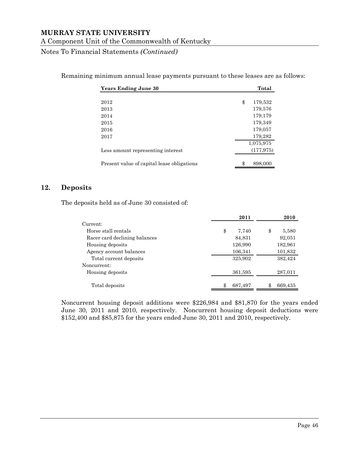Notes To Financial Statements *(Continued)*

| Remaining minimum annual lease payments pursuant to these leases are as follows: |  |  |  |  |  |  |
|----------------------------------------------------------------------------------|--|--|--|--|--|--|
|----------------------------------------------------------------------------------|--|--|--|--|--|--|

| <b>Years Ending June 30</b>                | Total         |
|--------------------------------------------|---------------|
|                                            |               |
| 2012                                       | \$<br>179,532 |
| 2013                                       | 179,576       |
| 2014                                       | 179,179       |
| 2015                                       | 179,349       |
| 2016                                       | 179,057       |
| 2017                                       | 179,282       |
|                                            | 1,075,975     |
| Less amount representing interest          | (177, 975)    |
| Present value of capital lease obligations | \$<br>898,000 |

#### **12. Deposits**

The deposits held as of June 30 consisted of:

|                               | 2011        | 2010        |
|-------------------------------|-------------|-------------|
| Current:                      |             |             |
| Horse stall rentals           | \$<br>7,740 | \$<br>5,580 |
| Racer card declining balances | 84,831      | 92,051      |
| Housing deposits              | 126,990     | 182,961     |
| Agency account balances       | 106,341     | 101,832     |
| Total current deposits        | 325,902     | 382,424     |
| Noncurrent:                   |             |             |
| Housing deposits              | 361,595     | 287,011     |
|                               |             |             |
| Total deposits                | 687,497     | 669,435     |

Noncurrent housing deposit additions were \$226,984 and \$81,870 for the years ended June 30, 2011 and 2010, respectively. Noncurrent housing deposit deductions were \$152,400 and \$85,875 for the years ended June 30, 2011 and 2010, respectively.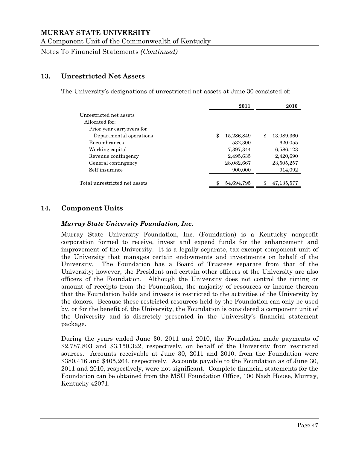A Component Unit of the Commonwealth of Kentucky

Notes To Financial Statements *(Continued)*

# **13. Unrestricted Net Assets**

The University's designations of unrestricted net assets at June 30 consisted of:

|                               | 2011             | 2010               |
|-------------------------------|------------------|--------------------|
| Unrestricted net assets       |                  |                    |
| Allocated for:                |                  |                    |
| Prior year carryovers for     |                  |                    |
| Departmental operations       | \$<br>15,286,849 | \$<br>13,089,360   |
| Encumbrances                  | 532,300          | 620,055            |
| Working capital               | 7,397,344        | 6,586,123          |
| Revenue contingency           | 2,495,635        | 2,420,690          |
| General contingency           | 28,082,667       | 23,505,257         |
| Self insurance                | 900,000          | 914,092            |
| Total unrestricted net assets | \$<br>54,694,795 | \$<br>47, 135, 577 |
|                               |                  |                    |

# **14. Component Units**

#### *Murray State University Foundation, Inc.*

Murray State University Foundation, Inc. (Foundation) is a Kentucky nonprofit corporation formed to receive, invest and expend funds for the enhancement and improvement of the University. It is a legally separate, tax-exempt component unit of the University that manages certain endowments and investments on behalf of the University. The Foundation has a Board of Trustees separate from that of the University; however, the President and certain other officers of the University are also officers of the Foundation. Although the University does not control the timing or amount of receipts from the Foundation, the majority of resources or income thereon that the Foundation holds and invests is restricted to the activities of the University by the donors. Because these restricted resources held by the Foundation can only be used by, or for the benefit of, the University, the Foundation is considered a component unit of the University and is discretely presented in the University's financial statement package.

During the years ended June 30, 2011 and 2010, the Foundation made payments of \$2,787,803 and \$3,150,322, respectively, on behalf of the University from restricted sources. Accounts receivable at June 30, 2011 and 2010, from the Foundation were \$380,416 and \$405,264, respectively. Accounts payable to the Foundation as of June 30, 2011 and 2010, respectively, were not significant. Complete financial statements for the Foundation can be obtained from the MSU Foundation Office, 100 Nash House, Murray, Kentucky 42071.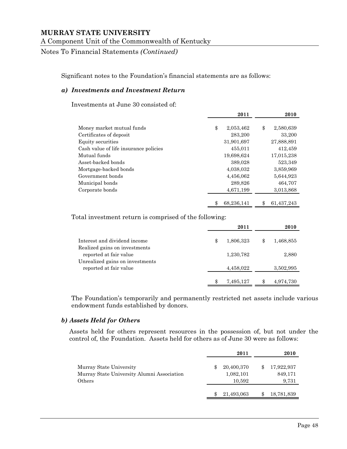Notes To Financial Statements *(Continued)*

Significant notes to the Foundation's financial statements are as follows:

#### *a) Investments and Investment Return*

Investments at June 30 consisted of:

|                                       | 2011             | 2010             |
|---------------------------------------|------------------|------------------|
| Money market mutual funds             | \$<br>2,053,462  | \$<br>2,580,639  |
| Certificates of deposit               | 283,200          | 33,200           |
| Equity securities                     | 31,901,697       | 27,888,891       |
| Cash value of life insurance policies | 455,011          | 412,459          |
| Mutual funds                          | 19,698,624       | 17,015,238       |
| Asset-backed bonds                    | 389,028          | 523,349          |
| Mortgage-backed bonds                 | 4,038,032        | 3,859,969        |
| Government bonds                      | 4,456,062        | 5,644,923        |
| Municipal bonds                       | 289,826          | 464,707          |
| Corporate bonds                       | 4,671,199        | 3,013,868        |
|                                       | 68,236,141<br>\$ | 61,437,243<br>\$ |

Total investment return is comprised of the following:

|                                                           |   | 2011      | 2010            |
|-----------------------------------------------------------|---|-----------|-----------------|
| Interest and dividend income                              | S | 1,806,323 | \$<br>1,468,855 |
| Realized gains on investments<br>reported at fair value   |   | 1,230,782 | 2,880           |
| Unrealized gains on investments<br>reported at fair value |   | 4,458,022 | 3,502,995       |
|                                                           |   | 7,495,127 | 4,974,730       |

The Foundation's temporarily and permanently restricted net assets include various endowment funds established by donors.

#### *b) Assets Held for Others*

Assets held for others represent resources in the possession of, but not under the control of, the Foundation. Assets held for others as of June 30 were as follows:

|                                                                                 | 2011                                    | 2010                           |
|---------------------------------------------------------------------------------|-----------------------------------------|--------------------------------|
| Murray State University<br>Murray State University Alumni Association<br>Others | \$<br>20,400,370<br>1,082,101<br>10,592 | 17,922,937<br>849,171<br>9,731 |
|                                                                                 | 21,493,063                              | 18,781,839                     |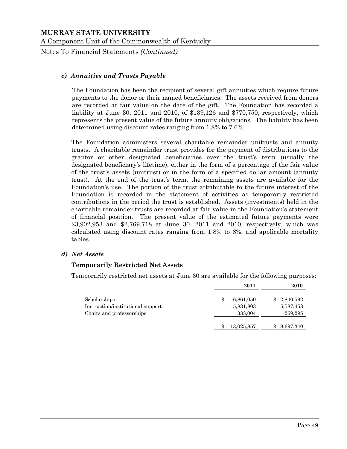Notes To Financial Statements *(Continued)*

#### *c) Annuities and Trusts Payable*

The Foundation has been the recipient of several gift annuities which require future payments to the donor or their named beneficiaries. The assets received from donors are recorded at fair value on the date of the gift. The Foundation has recorded a liability at June 30, 2011 and 2010, of \$139,126 and \$770,750, respectively, which represents the present value of the future annuity obligations. The liability has been determined using discount rates ranging from 1.8% to 7.6%.

The Foundation administers several charitable remainder unitrusts and annuity trusts. A charitable remainder trust provides for the payment of distributions to the grantor or other designated beneficiaries over the trust's term (usually the designated beneficiary's lifetime), either in the form of a percentage of the fair value of the trust's assets (unitrust) or in the form of a specified dollar amount (annuity trust). At the end of the trust's term, the remaining assets are available for the Foundation's use. The portion of the trust attributable to the future interest of the Foundation is recorded in the statement of activities as temporarily restricted contributions in the period the trust is established. Assets (investments) held in the charitable remainder trusts are recorded at fair value in the Foundation's statement of financial position. The present value of the estimated future payments were \$3,902,953 and \$2,769,718 at June 30, 2011 and 2010, respectively, which was calculated using discount rates ranging from 1.8% to 8%, and applicable mortality tables.

#### *d) Net Assets*

#### **Temporarily Restricted Net Assets**

Temporarily restricted net assets at June 30 are available for the following purposes:

|                                   | 2011             | 2010        |
|-----------------------------------|------------------|-------------|
| Scholarships                      | \$<br>6,861,050  | \$2,840,592 |
| Instruction/institutional support | 5,831,803        | 5,587,453   |
| Chairs and professorships         | 333,004          | 269,295     |
|                                   | \$<br>13,025,857 | 8,697,340   |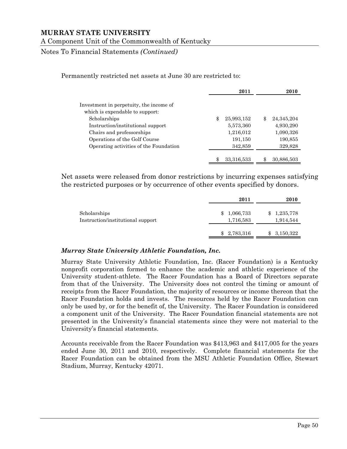Notes To Financial Statements *(Continued)*

Permanently restricted net assets at June 30 are restricted to:

|                                                                            | 2011             | 2010               |
|----------------------------------------------------------------------------|------------------|--------------------|
| Investment in perpetuity, the income of<br>which is expendable to support: |                  |                    |
| Scholarships                                                               | \$<br>25,993,152 | \$<br>24, 345, 204 |
| Instruction/institutional support                                          | 5,573,360        | 4,930,290          |
| Chairs and professorships                                                  | 1,216,012        | 1,090,326          |
| Operations of the Golf Course                                              | 191,150          | 190,855            |
| Operating activities of the Foundation                                     | 342,859          | 329,828            |
|                                                                            | 33,316,533       | 30,886,503         |

Net assets were released from donor restrictions by incurring expenses satisfying the restricted purposes or by occurrence of other events specified by donors.

|                                                   | 2011                         | 2010                         |
|---------------------------------------------------|------------------------------|------------------------------|
| Scholarships<br>Instruction/institutional support | 1,066,733<br>\$<br>1,716,583 | 1,235,778<br>\$<br>1,914,544 |
|                                                   | 2,783,316<br>\$              | 3,150,322<br>\$              |

#### *Murray State University Athletic Foundation, Inc.*

Murray State University Athletic Foundation, Inc. (Racer Foundation) is a Kentucky nonprofit corporation formed to enhance the academic and athletic experience of the University student-athlete. The Racer Foundation has a Board of Directors separate from that of the University. The University does not control the timing or amount of receipts from the Racer Foundation, the majority of resources or income thereon that the Racer Foundation holds and invests. The resources held by the Racer Foundation can only be used by, or for the benefit of, the University. The Racer Foundation is considered a component unit of the University. The Racer Foundation financial statements are not presented in the University's financial statements since they were not material to the University's financial statements.

Accounts receivable from the Racer Foundation was \$413,963 and \$417,005 for the years ended June 30, 2011 and 2010, respectively. Complete financial statements for the Racer Foundation can be obtained from the MSU Athletic Foundation Office, Stewart Stadium, Murray, Kentucky 42071.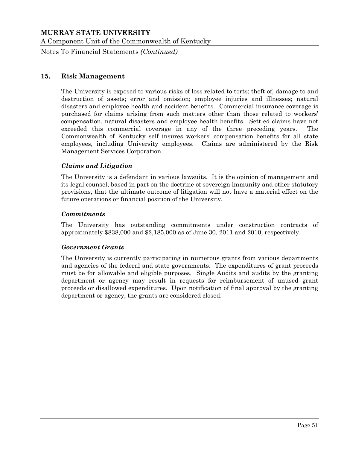Notes To Financial Statements *(Continued)*

#### **15. Risk Management**

The University is exposed to various risks of loss related to torts; theft of, damage to and destruction of assets; error and omission; employee injuries and illnesses; natural disasters and employee health and accident benefits. Commercial insurance coverage is purchased for claims arising from such matters other than those related to workers' compensation, natural disasters and employee health benefits. Settled claims have not exceeded this commercial coverage in any of the three preceding years. The Commonwealth of Kentucky self insures workers' compensation benefits for all state employees, including University employees. Claims are administered by the Risk Management Services Corporation.

#### *Claims and Litigation*

The University is a defendant in various lawsuits. It is the opinion of management and its legal counsel, based in part on the doctrine of sovereign immunity and other statutory provisions, that the ultimate outcome of litigation will not have a material effect on the future operations or financial position of the University.

#### *Commitments*

The University has outstanding commitments under construction contracts of approximately \$838,000 and \$2,185,000 as of June 30, 2011 and 2010, respectively.

#### *Government Grants*

The University is currently participating in numerous grants from various departments and agencies of the federal and state governments. The expenditures of grant proceeds must be for allowable and eligible purposes. Single Audits and audits by the granting department or agency may result in requests for reimbursement of unused grant proceeds or disallowed expenditures. Upon notification of final approval by the granting department or agency, the grants are considered closed.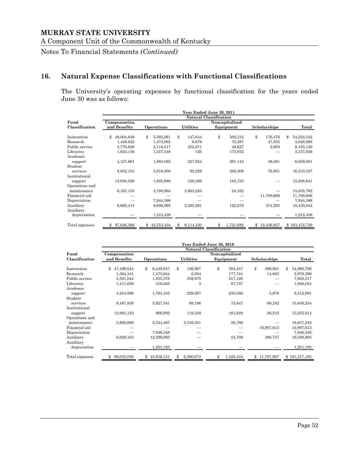Notes To Financial Statements *(Continued)*

# **16. Natural Expense Classifications with Functional Classifications**

The University's operating expenses by functional classification for the years ended June 30 was as follows:

|                | Year Ended June 30, 2011 |                  |                  |                               |               |                  |
|----------------|--------------------------|------------------|------------------|-------------------------------|---------------|------------------|
|                |                          |                  |                  | <b>Natural Classification</b> |               |                  |
| Fund           | Compensation             |                  |                  | Noncapitalized                |               |                  |
| Classification | and Benefits             | Operations       | <b>Utilities</b> | Equipment                     | Scholarships  | Total            |
| Instruction    | 48,004,849<br>\$         | \$<br>5,393,261  | \$<br>147,644    | \$<br>502,312                 | \$<br>176,476 | \$<br>54,224,542 |
| Research       | 1,448,622                | 1,473,065        | 6,679            | 70,497                        | 47,835        | 3,046,698        |
| Public service | 5,770,628                | 2,118,517        | 252,671          | 48,627                        | 2,683         | 8,193,126        |
| Libraries      | 1,624,156                | 1,357,548        | 120              | 175,832                       |               | 3,157,656        |
| Academic       |                          |                  |                  |                               |               |                  |
| support        | 4,107,861                | 1,983,082        | 227,924          | 291,143                       | 49,081        | 6,659,091        |
| Student        |                          |                  |                  |                               |               |                  |
| services       | 9,932,153                | 5,916,958        | 92,259           | 292,306                       | 76,851        | 16,310,527       |
| Institutional  |                          |                  |                  |                               |               |                  |
| support        | 13,930,529               | 1,685,988        | 128,589          | 193,735                       |               | 15,938,841       |
| Operations and |                          |                  |                  |                               |               |                  |
| maintenance    | 6,167,153                | 3,780,994        | 5,663,283        | 24,352                        |               | 15,635,782       |
| Financial aid  |                          |                  |                  |                               | 11,709,606    | 11,709,606       |
| Depreciation   |                          | 7,944,588        |                  |                               |               | 7,944,588        |
| Auxiliary      | 6,660,415                | 9,686,995        | 2,595,261        | 122,878                       | 374,295       | 19,439,844       |
| Auxiliary      |                          |                  |                  |                               |               |                  |
| depreciation   |                          | 1,212,438        |                  |                               |               | 1,212,438        |
| Total expenses | 97,646,366<br>\$         | \$<br>42,553,434 | 9,114,430<br>Я   | \$<br>1,721,682               | \$12,436,827  | \$163,472,739    |

|                | Year Ended June 30, 2010 |                  |                  |                               |                   |                  |
|----------------|--------------------------|------------------|------------------|-------------------------------|-------------------|------------------|
|                |                          |                  |                  | <b>Natural Classification</b> |                   |                  |
| Fund           | Compensation             |                  |                  | Noncapitalized                |                   |                  |
| Classification | and Benefits             | Operations       | <b>Utilities</b> | Equipment                     | Scholarships      | Total            |
| Instruction    | \$<br>47,499,044         | \$<br>6,449,637  | \$<br>136,967    | \$<br>384,457                 | \$<br>399,601     | \$<br>54,869,706 |
| Research       | 1,304,341                | 1,475,944        | 6,564            | 177,744                       | 14,803            | 2,979,396        |
| Public service | 5,591,044                | 1,835,378        | 259,975          | 217,120                       |                   | 7,903,517        |
| Libraries      | 1,411,659                | 416,625          | 3                | 97,737                        |                   | 1,926,024        |
| Academic       |                          |                  |                  |                               |                   |                  |
| support        | 4,254,996                | 1,794,433        | 229,297          | 230,586                       | 3,679             | 6,512,991        |
| Student        |                          |                  |                  |                               |                   |                  |
| services       | 9,487,828                | 5,927,341        | 89,196           | 75,647                        | 69,242            | 15,649,254       |
| Institutional  |                          |                  |                  |                               |                   |                  |
| support        | 13,981,123               | 966,682          | 119,349          | 161,648                       | 26,212            | 15,255,014       |
| Operations and |                          |                  |                  |                               |                   |                  |
| maintenance    | 5,892,669                | 5,344,467        | 5,549,321        | 50,786                        |                   | 16,837,243       |
| Financial aid  |                          |                  |                  |                               | 10,897,613        | 10,897,613       |
| Depreciation   |                          | 7,946,348        |                  |                               |                   | 7,946,348        |
| Auxiliary      | 6,629,334                | 12,298,093       |                  | 24,709                        | 386,757           | 19,338,893       |
| Auxiliary      |                          |                  |                  |                               |                   |                  |
| depreciation   |                          | 1,201,183        |                  |                               |                   | 1,201,183        |
| Total expenses | 96,052,038               | 45,656,131<br>\$ | 6,390,672<br>-Я  | 1,420,434                     | 11,797,907<br>\$. | \$161,317,182    |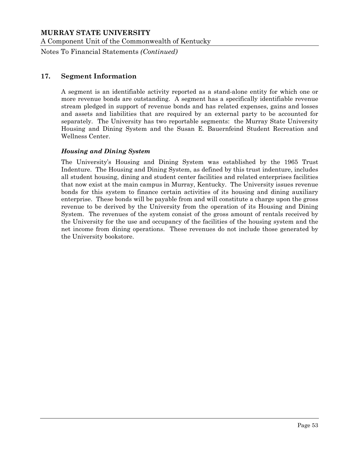Notes To Financial Statements *(Continued)*

# **17. Segment Information**

A segment is an identifiable activity reported as a stand-alone entity for which one or more revenue bonds are outstanding. A segment has a specifically identifiable revenue stream pledged in support of revenue bonds and has related expenses, gains and losses and assets and liabilities that are required by an external party to be accounted for separately. The University has two reportable segments: the Murray State University Housing and Dining System and the Susan E. Bauernfeind Student Recreation and Wellness Center.

#### *Housing and Dining System*

The University's Housing and Dining System was established by the 1965 Trust Indenture. The Housing and Dining System, as defined by this trust indenture, includes all student housing, dining and student center facilities and related enterprises facilities that now exist at the main campus in Murray, Kentucky. The University issues revenue bonds for this system to finance certain activities of its housing and dining auxiliary enterprise. These bonds will be payable from and will constitute a charge upon the gross revenue to be derived by the University from the operation of its Housing and Dining System. The revenues of the system consist of the gross amount of rentals received by the University for the use and occupancy of the facilities of the housing system and the net income from dining operations. These revenues do not include those generated by the University bookstore.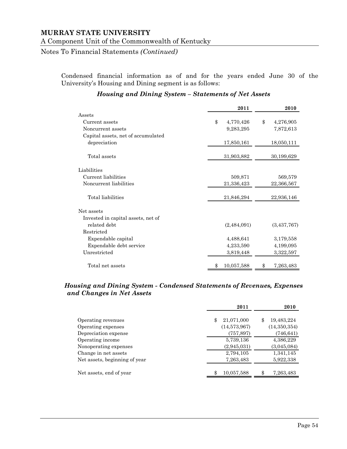Notes To Financial Statements *(Continued)*

Condensed financial information as of and for the years ended June 30 of the University's Housing and Dining segment is as follows:

|                                    | 2011             | 2010            |
|------------------------------------|------------------|-----------------|
| Assets                             |                  |                 |
| Current assets                     | \$<br>4,770,426  | \$<br>4,276,905 |
| Noncurrent assets                  | 9,283,295        | 7,872,613       |
| Capital assets, net of accumulated |                  |                 |
| depreciation                       | 17,850,161       | 18,050,111      |
| Total assets                       | 31,903,882       | 30,199,629      |
| Liabilities                        |                  |                 |
| Current liabilities                | 509,871          | 569,579         |
| Noncurrent liabilities             | 21,336,423       | 22,366,567      |
| Total liabilities                  | 21,846,294       | 22,936,146      |
| Net assets                         |                  |                 |
| Invested in capital assets, net of |                  |                 |
| related debt                       | (2,484,091)      | (3,437,767)     |
| Restricted                         |                  |                 |
| Expendable capital                 | 4,488,641        | 3,179,558       |
| Expendable debt service            | 4,233,590        | 4,199,095       |
| Unrestricted                       | 3,819,448        | 3,322,597       |
| Total net assets                   | 10,057,588<br>\$ | 7,263,483<br>\$ |

#### *Housing and Dining System – Statements of Net Assets*

### *Housing and Dining System - Condensed Statements of Revenues, Expenses and Changes in Net Assets*

|                               | 2011             | 2010             |
|-------------------------------|------------------|------------------|
| Operating revenues            | 21,071,000<br>\$ | 19,483,224<br>\$ |
| Operating expenses            | (14,573,967)     | (14, 350, 354)   |
| Depreciation expense          | (757, 897)       | (746, 641)       |
| Operating income              | 5,739,136        | 4,386,229        |
| Nonoperating expenses         | (2,945,031)      | (3,045,084)      |
| Change in net assets          | 2,794,105        | 1,341,145        |
| Net assets, beginning of year | 7,263,483        | 5,922,338        |
| Net assets, end of year       | 10,057,588<br>\$ | \$<br>7,263,483  |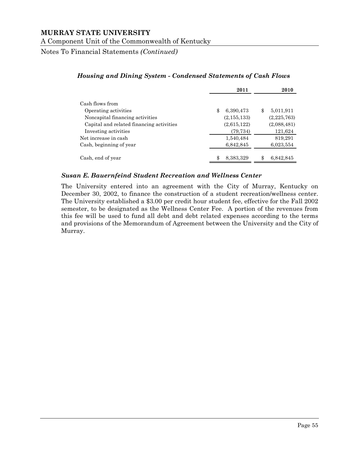Notes To Financial Statements *(Continued)*

|                                                                            | 2011                             |    | 2010                     |
|----------------------------------------------------------------------------|----------------------------------|----|--------------------------|
| Cash flows from<br>Operating activities<br>Noncapital financing activities | \$<br>6,390,473<br>(2, 155, 133) | \$ | 5,011,911<br>(2,225,763) |
| Capital and related financing activities<br>Investing activities           | (2,615,122)<br>(79,734)          |    | (2,088,481)<br>121,624   |
| Net increase in cash                                                       | 1,540,484                        |    | 819,291                  |
| Cash, beginning of year                                                    | 6,842,845                        |    | 6,023,554                |
| Cash, end of year                                                          | \$<br>8,383,329                  |    | 6,842,845                |

## *Housing and Dining System - Condensed Statements of Cash Flows*

#### *Susan E. Bauernfeind Student Recreation and Wellness Center*

The University entered into an agreement with the City of Murray, Kentucky on December 30, 2002, to finance the construction of a student recreation/wellness center. The University established a \$3.00 per credit hour student fee, effective for the Fall 2002 semester, to be designated as the Wellness Center Fee. A portion of the revenues from this fee will be used to fund all debt and debt related expenses according to the terms and provisions of the Memorandum of Agreement between the University and the City of Murray.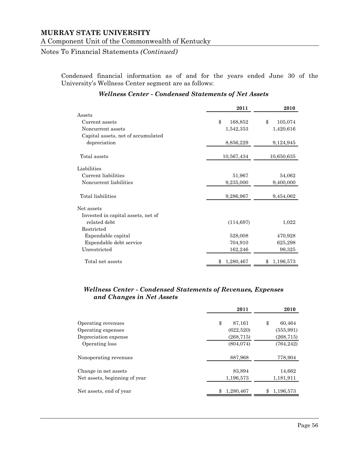Notes To Financial Statements *(Continued)*

Condensed financial information as of and for the years ended June 30 of the University's Wellness Center segment are as follows:

|                                    | 2011          | 2010          |
|------------------------------------|---------------|---------------|
| Assets                             |               |               |
| Current assets                     | \$<br>168,852 | \$<br>105,074 |
| Noncurrent assets                  | 1,542,353     | 1,420,616     |
| Capital assets, net of accumulated |               |               |
| depreciation                       | 8,856,229     | 9,124,945     |
| Total assets                       | 10,567,434    | 10,650,635    |
| Liabilities                        |               |               |
| Current liabilities                | 51,967        | 54,062        |
| Noncurrent liabilities             | 9,235,000     | 9,400,000     |
| Total liabilities                  | 9,286,967     | 9,454,062     |
| Net assets                         |               |               |
| Invested in capital assets, net of |               |               |
| related debt                       | (114, 697)    | 1,022         |
| Restricted                         |               |               |
| Expendable capital                 | 528,008       | 470,928       |
| Expendable debt service            | 704,910       | 625,298       |
| Unrestricted                       | 162,246       | 99,325        |
| Total net assets                   | 1,280,467     | 1,196,573     |

#### *Wellness Center - Condensed Statements of Net Assets*

#### *Wellness Center - Condensed Statements of Revenues, Expenses and Changes in Net Assets*

|                               | 2011         | 2010         |
|-------------------------------|--------------|--------------|
| Operating revenues            | \$<br>87,161 | \$<br>60,464 |
| Operating expenses            | (622,520)    | (555, 991)   |
| Depreciation expense          | (268, 715)   | (268, 715)   |
| Operating loss                | (804, 074)   | (764, 242)   |
| Nonoperating revenues         | 887,968      | 778,904      |
| Change in net assets          | 83,894       | 14,662       |
| Net assets, beginning of year | 1,196,573    | 1,181,911    |
| Net assets, end of year       | 1,280,467    | 1,196,573    |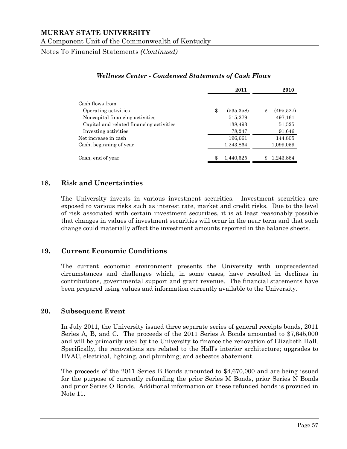Notes To Financial Statements *(Continued)*

|                                          | 2011             | 2010             |
|------------------------------------------|------------------|------------------|
| Cash flows from                          |                  |                  |
| Operating activities                     | \$<br>(535, 358) | \$<br>(495, 527) |
| Noncapital financing activities          | 515,279          | 497,161          |
| Capital and related financing activities | 138,493          | 51,525           |
| Investing activities                     | 78,247           | 91,646           |
| Net increase in cash                     | 196,661          | 144,805          |
| Cash, beginning of year                  | 1,243,864        | 1,099,059        |
| Cash, end of year                        | \$<br>1.440.525  | 1,243,864        |

#### *Wellness Center - Condensed Statements of Cash Flows*

# **18. Risk and Uncertainties**

The University invests in various investment securities. Investment securities are exposed to various risks such as interest rate, market and credit risks. Due to the level of risk associated with certain investment securities, it is at least reasonably possible that changes in values of investment securities will occur in the near term and that such change could materially affect the investment amounts reported in the balance sheets.

## **19. Current Economic Conditions**

The current economic environment presents the University with unprecedented circumstances and challenges which, in some cases, have resulted in declines in contributions, governmental support and grant revenue. The financial statements have been prepared using values and information currently available to the University.

## **20. Subsequent Event**

In July 2011, the University issued three separate series of general receipts bonds, 2011 Series A, B, and C. The proceeds of the 2011 Series A Bonds amounted to \$7,645,000 and will be primarily used by the University to finance the renovation of Elizabeth Hall. Specifically, the renovations are related to the Hall's interior architecture; upgrades to HVAC, electrical, lighting, and plumbing; and asbestos abatement.

The proceeds of the 2011 Series B Bonds amounted to \$4,670,000 and are being issued for the purpose of currently refunding the prior Series M Bonds, prior Series N Bonds and prior Series O Bonds. Additional information on these refunded bonds is provided in Note 11.